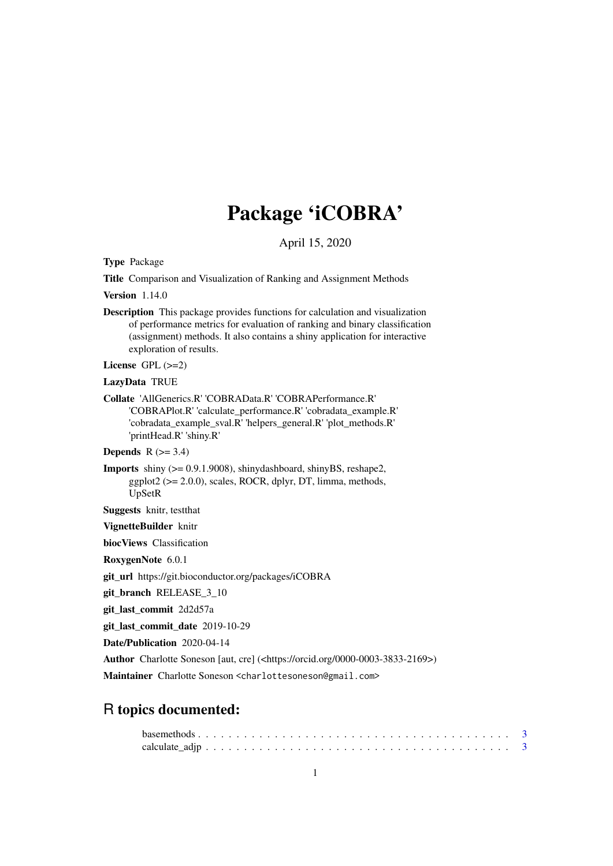# Package 'iCOBRA'

April 15, 2020

Type Package

Title Comparison and Visualization of Ranking and Assignment Methods

Version 1.14.0

Description This package provides functions for calculation and visualization of performance metrics for evaluation of ranking and binary classification (assignment) methods. It also contains a shiny application for interactive exploration of results.

License GPL (>=2)

#### LazyData TRUE

Collate 'AllGenerics.R' 'COBRAData.R' 'COBRAPerformance.R' 'COBRAPlot.R' 'calculate\_performance.R' 'cobradata\_example.R' 'cobradata\_example\_sval.R' 'helpers\_general.R' 'plot\_methods.R' 'printHead.R' 'shiny.R'

**Depends**  $R$  ( $>= 3.4$ )

Imports shiny (>= 0.9.1.9008), shinydashboard, shinyBS, reshape2,  $ggplot2 (> = 2.0.0)$ , scales, ROCR, dplyr, DT, limma, methods, UpSetR

Suggests knitr, testthat

VignetteBuilder knitr

biocViews Classification

RoxygenNote 6.0.1

git\_url https://git.bioconductor.org/packages/iCOBRA

git branch RELEASE 3 10

git\_last\_commit 2d2d57a

git\_last\_commit\_date 2019-10-29

Date/Publication 2020-04-14

Author Charlotte Soneson [aut, cre] (<https://orcid.org/0000-0003-3833-2169>)

Maintainer Charlotte Soneson <charlottesoneson@gmail.com>

## R topics documented: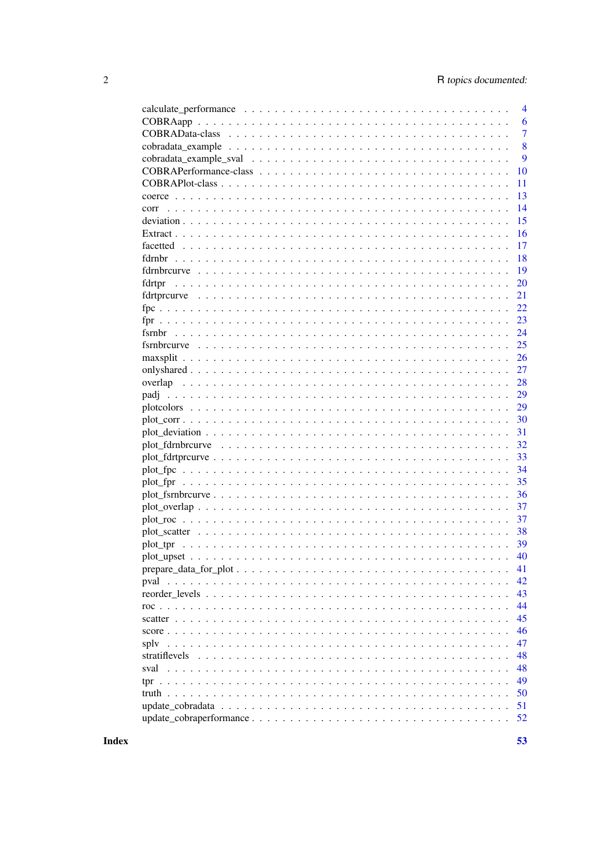|               | 4              |
|---------------|----------------|
|               | 6              |
|               | $\overline{7}$ |
|               | 8              |
|               | 9              |
|               | 10             |
|               | 11             |
|               | 13             |
| corr          | 14             |
|               | 15             |
|               | 16             |
|               | 17             |
|               | 18             |
|               | 19             |
|               | 20             |
|               | 21             |
|               | 22             |
|               | 23             |
|               | 24             |
|               | 25             |
|               | 26             |
|               | 27             |
|               | 28             |
|               | 29             |
|               | 29             |
|               | 30             |
|               | 31             |
|               | 32             |
|               | 33             |
|               | 34             |
| plot_fpr      | 35             |
|               | 36             |
|               | 37             |
|               | 37             |
|               | 38             |
|               | 39             |
| plot_tpr      |                |
|               | 40             |
|               | 41             |
| pval          | 42             |
|               | 43             |
|               | 44             |
|               | 45             |
|               | 46             |
| sply          | 47             |
| stratiflevels | 48             |
| sval          | 48             |
|               | 49             |
|               | 50             |
|               | 51             |
|               | 52             |

**Index**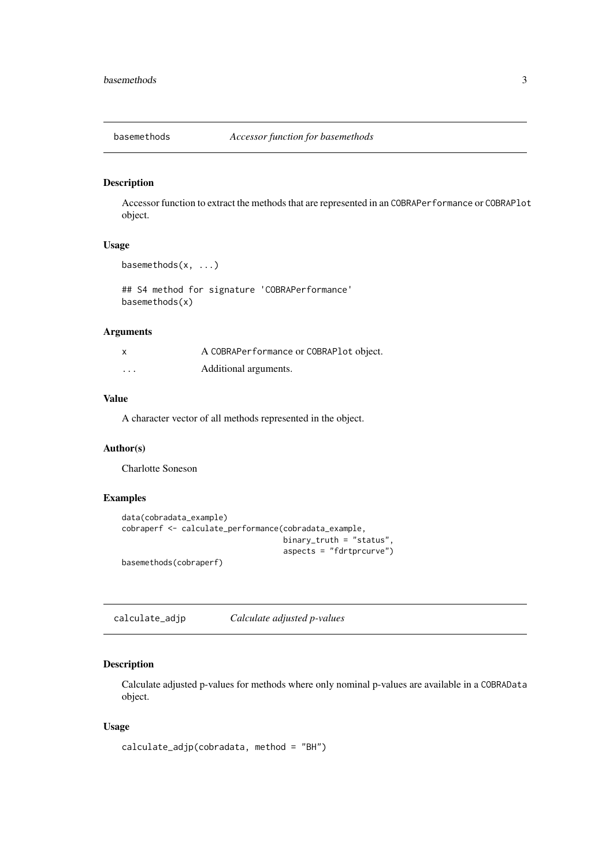<span id="page-2-0"></span>

Accessor function to extract the methods that are represented in an COBRAPerformance or COBRAPlot object.

#### Usage

```
basemethods(x, ...)
```
## S4 method for signature 'COBRAPerformance' basemethods(x)

## Arguments

| X        | A COBRAPerformance or COBRAPlot object. |
|----------|-----------------------------------------|
| $\cdots$ | Additional arguments.                   |

## Value

A character vector of all methods represented in the object.

## Author(s)

Charlotte Soneson

## Examples

```
data(cobradata_example)
cobraperf <- calculate_performance(cobradata_example,
                                   binary_truth = "status",
                                   aspects = "fdrtprcurve")
basemethods(cobraperf)
```
<span id="page-2-1"></span>calculate\_adjp *Calculate adjusted p-values*

## Description

Calculate adjusted p-values for methods where only nominal p-values are available in a COBRAData object.

## Usage

```
calculate_adjp(cobradata, method = "BH")
```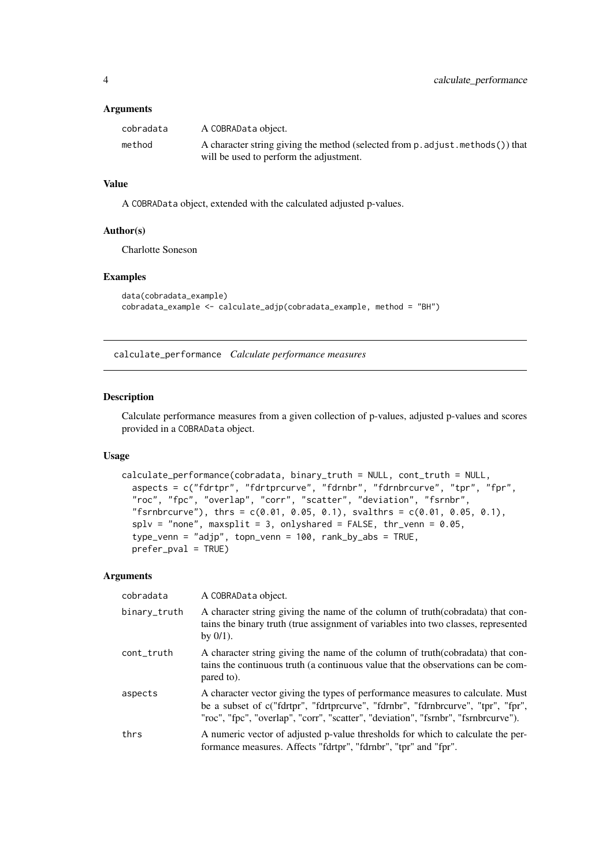#### <span id="page-3-0"></span>Arguments

| cobradata | A COBRAData object.                                                             |
|-----------|---------------------------------------------------------------------------------|
| method    | A character string giving the method (selected from p. adjust. methods ()) that |
|           | will be used to perform the adjustment.                                         |

#### Value

A COBRAData object, extended with the calculated adjusted p-values.

## Author(s)

Charlotte Soneson

## Examples

```
data(cobradata_example)
cobradata_example <- calculate_adjp(cobradata_example, method = "BH")
```
<span id="page-3-1"></span>calculate\_performance *Calculate performance measures*

#### Description

Calculate performance measures from a given collection of p-values, adjusted p-values and scores provided in a COBRAData object.

## Usage

```
calculate_performance(cobradata, binary_truth = NULL, cont_truth = NULL,
 aspects = c("fdrtpr", "fdrtprcurve", "fdrnbr", "fdrnbrcurve", "tpr", "fpr",
  "roc", "fpc", "overlap", "corr", "scatter", "deviation", "fsrnbr",
  "fsrnbrcurve"), thrs = c(0.01, 0.05, 0.1), svalthrs = c(0.01, 0.05, 0.1),
 splv = "none", maxsplit = 3, onlyshared = FALSE, thr\_venn = 0.05,type_venn = "adjp", topn_venn = 100, rank_by_abs = TRUE,
 prefer_pval = TRUE)
```
## Arguments

| cobradata    | A COBRAData object.                                                                                                                                                                                                                                      |
|--------------|----------------------------------------------------------------------------------------------------------------------------------------------------------------------------------------------------------------------------------------------------------|
| binary_truth | A character string giving the name of the column of truth (cobradata) that con-<br>tains the binary truth (true assignment of variables into two classes, represented<br>by $0/1$ ).                                                                     |
| cont_truth   | A character string giving the name of the column of truth (cobradata) that con-<br>tains the continuous truth (a continuous value that the observations can be com-<br>pared to).                                                                        |
| aspects      | A character vector giving the types of performance measures to calculate. Must<br>be a subset of c("fdrtpr", "fdrtprcurve", "fdrnbr", "fdrnbrcurve", "tpr", "fpr",<br>"roc", "fpc", "overlap", "corr", "scatter", "deviation", "fsrnbr", "fsrnbrcurve"). |
| thrs         | A numeric vector of adjusted p-value thresholds for which to calculate the per-<br>formance measures. Affects "fdrtpr", "fdrnbr", "tpr" and "fpr".                                                                                                       |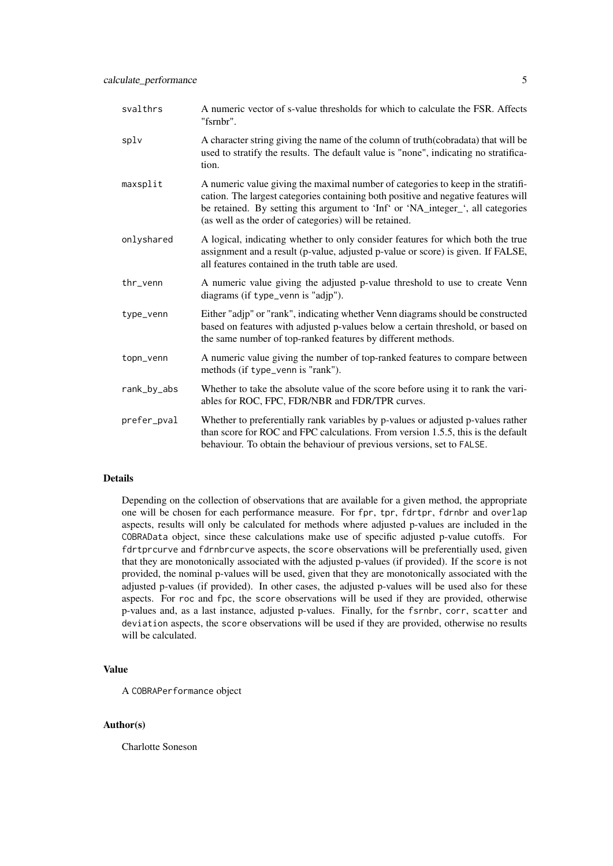| svalthrs    | A numeric vector of s-value thresholds for which to calculate the FSR. Affects<br>"fsrnbr".                                                                                                                                                                                                                         |
|-------------|---------------------------------------------------------------------------------------------------------------------------------------------------------------------------------------------------------------------------------------------------------------------------------------------------------------------|
| splv        | A character string giving the name of the column of truth(cobradata) that will be<br>used to stratify the results. The default value is "none", indicating no stratifica-<br>tion.                                                                                                                                  |
| maxsplit    | A numeric value giving the maximal number of categories to keep in the stratifi-<br>cation. The largest categories containing both positive and negative features will<br>be retained. By setting this argument to 'Inf' or 'NA_integer_', all categories<br>(as well as the order of categories) will be retained. |
| onlyshared  | A logical, indicating whether to only consider features for which both the true<br>assignment and a result (p-value, adjusted p-value or score) is given. If FALSE,<br>all features contained in the truth table are used.                                                                                          |
| thr_venn    | A numeric value giving the adjusted p-value threshold to use to create Venn<br>diagrams (if type_venn is "adjp").                                                                                                                                                                                                   |
| type_venn   | Either "adjp" or "rank", indicating whether Venn diagrams should be constructed<br>based on features with adjusted p-values below a certain threshold, or based on<br>the same number of top-ranked features by different methods.                                                                                  |
| topn_venn   | A numeric value giving the number of top-ranked features to compare between<br>methods (if type_venn is "rank").                                                                                                                                                                                                    |
| rank_by_abs | Whether to take the absolute value of the score before using it to rank the vari-<br>ables for ROC, FPC, FDR/NBR and FDR/TPR curves.                                                                                                                                                                                |
| prefer_pval | Whether to preferentially rank variables by p-values or adjusted p-values rather<br>than score for ROC and FPC calculations. From version 1.5.5, this is the default<br>behaviour. To obtain the behaviour of previous versions, set to FALSE.                                                                      |

## Details

Depending on the collection of observations that are available for a given method, the appropriate one will be chosen for each performance measure. For fpr, tpr, fdrtpr, fdrnbr and overlap aspects, results will only be calculated for methods where adjusted p-values are included in the COBRAData object, since these calculations make use of specific adjusted p-value cutoffs. For fdrtprcurve and fdrnbrcurve aspects, the score observations will be preferentially used, given that they are monotonically associated with the adjusted p-values (if provided). If the score is not provided, the nominal p-values will be used, given that they are monotonically associated with the adjusted p-values (if provided). In other cases, the adjusted p-values will be used also for these aspects. For roc and fpc, the score observations will be used if they are provided, otherwise p-values and, as a last instance, adjusted p-values. Finally, for the fsrnbr, corr, scatter and deviation aspects, the score observations will be used if they are provided, otherwise no results will be calculated.

## Value

A COBRAPerformance object

#### Author(s)

Charlotte Soneson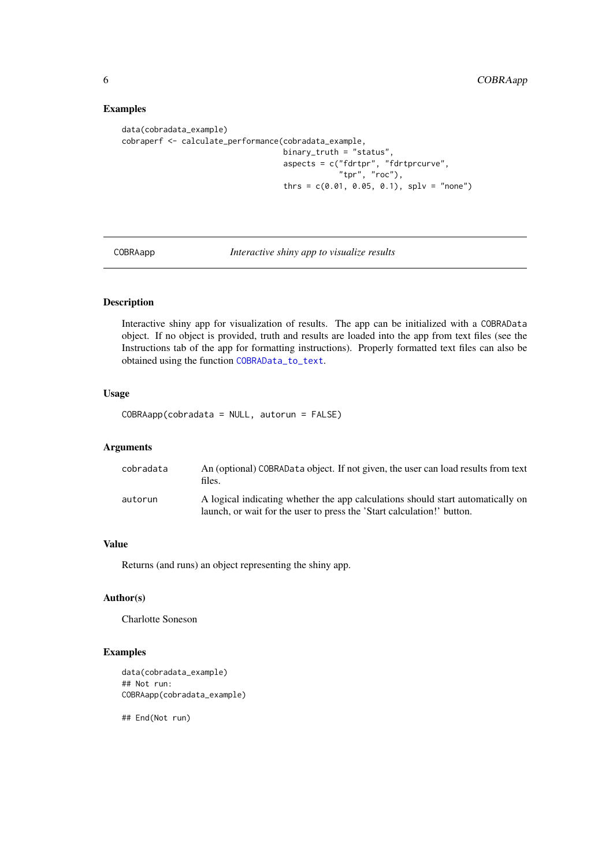## Examples

```
data(cobradata_example)
cobraperf <- calculate_performance(cobradata_example,
                                   binary_truth = "status",
                                   aspects = c("fdrtpr", "fdrtprcurve",
                                               "tpr", "roc"),
                                   thrs = c(0.01, 0.05, 0.1), splv = "none")
```
COBRAapp *Interactive shiny app to visualize results*

#### Description

Interactive shiny app for visualization of results. The app can be initialized with a COBRAData object. If no object is provided, truth and results are loaded into the app from text files (see the Instructions tab of the app for formatting instructions). Properly formatted text files can also be obtained using the function [COBRAData\\_to\\_text](#page-6-1).

## Usage

COBRAapp(cobradata = NULL, autorun = FALSE)

### Arguments

| cobradata | An (optional) COBRAData object. If not given, the user can load results from text<br>files.                                                               |
|-----------|-----------------------------------------------------------------------------------------------------------------------------------------------------------|
| autorun   | A logical indicating whether the app calculations should start automatically on<br>launch, or wait for the user to press the 'Start calculation!' button. |

## Value

Returns (and runs) an object representing the shiny app.

#### Author(s)

Charlotte Soneson

#### Examples

```
data(cobradata_example)
## Not run:
COBRAapp(cobradata_example)
```
## End(Not run)

<span id="page-5-0"></span>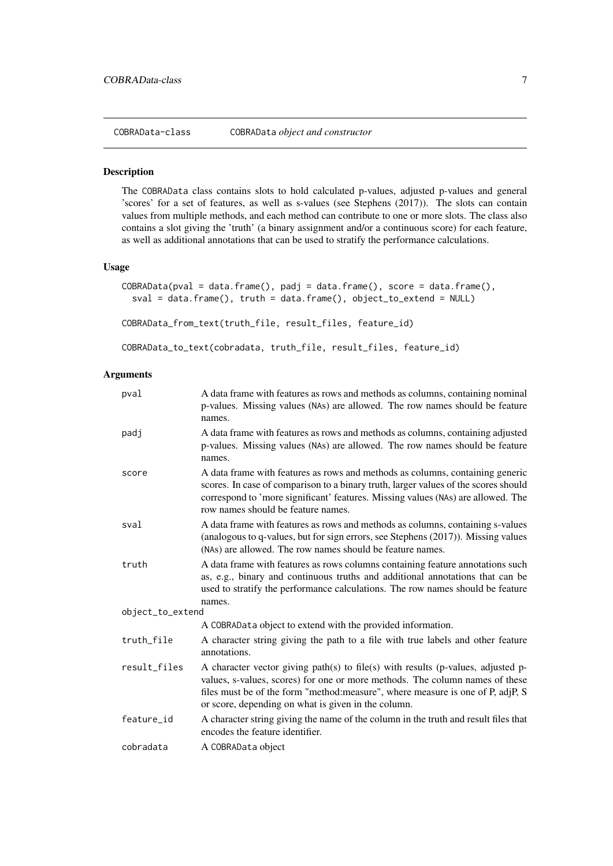<span id="page-6-0"></span>COBRAData-class COBRAData *object and constructor*

#### <span id="page-6-1"></span>Description

The COBRAData class contains slots to hold calculated p-values, adjusted p-values and general 'scores' for a set of features, as well as s-values (see Stephens (2017)). The slots can contain values from multiple methods, and each method can contribute to one or more slots. The class also contains a slot giving the 'truth' (a binary assignment and/or a continuous score) for each feature, as well as additional annotations that can be used to stratify the performance calculations.

#### Usage

```
CORRAData(pval = data-frame(), padj = data.frame(), score = data.frame(),sval = data.frame(), truth = data.frame(), object_to_extend = NULL)
```
COBRAData\_from\_text(truth\_file, result\_files, feature\_id)

```
COBRAData_to_text(cobradata, truth_file, result_files, feature_id)
```
#### Arguments

| pval             | A data frame with features as rows and methods as columns, containing nominal<br>p-values. Missing values (NAs) are allowed. The row names should be feature<br>names.                                                                                                                                    |
|------------------|-----------------------------------------------------------------------------------------------------------------------------------------------------------------------------------------------------------------------------------------------------------------------------------------------------------|
| padj             | A data frame with features as rows and methods as columns, containing adjusted<br>p-values. Missing values (NAs) are allowed. The row names should be feature<br>names.                                                                                                                                   |
| score            | A data frame with features as rows and methods as columns, containing generic<br>scores. In case of comparison to a binary truth, larger values of the scores should<br>correspond to 'more significant' features. Missing values (NAs) are allowed. The<br>row names should be feature names.            |
| sval             | A data frame with features as rows and methods as columns, containing s-values<br>(analogous to q-values, but for sign errors, see Stephens (2017)). Missing values<br>(NAs) are allowed. The row names should be feature names.                                                                          |
| truth            | A data frame with features as rows columns containing feature annotations such<br>as, e.g., binary and continuous truths and additional annotations that can be<br>used to stratify the performance calculations. The row names should be feature<br>names.                                               |
| object_to_extend |                                                                                                                                                                                                                                                                                                           |
|                  | A COBRAData object to extend with the provided information.                                                                                                                                                                                                                                               |
| truth_file       | A character string giving the path to a file with true labels and other feature<br>annotations.                                                                                                                                                                                                           |
| result_files     | A character vector giving path(s) to file(s) with results (p-values, adjusted p-<br>values, s-values, scores) for one or more methods. The column names of these<br>files must be of the form "method:measure", where measure is one of P, adjP, S<br>or score, depending on what is given in the column. |
| feature_id       | A character string giving the name of the column in the truth and result files that<br>encodes the feature identifier.                                                                                                                                                                                    |
| cobradata        | A COBRAData object                                                                                                                                                                                                                                                                                        |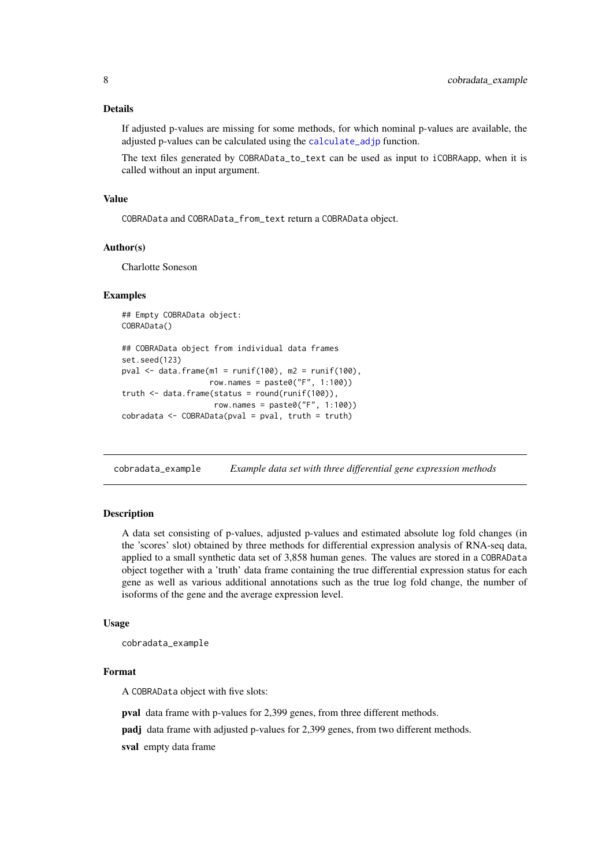#### <span id="page-7-0"></span>Details

If adjusted p-values are missing for some methods, for which nominal p-values are available, the adjusted p-values can be calculated using the [calculate\\_adjp](#page-2-1) function.

The text files generated by COBRAData\_to\_text can be used as input to iCOBRAapp, when it is called without an input argument.

#### Value

COBRAData and COBRAData\_from\_text return a COBRAData object.

#### Author(s)

Charlotte Soneson

#### Examples

## Empty COBRAData object: COBRAData()

```
## COBRAData object from individual data frames
set.seed(123)
pval \leq data.frame(m1 = runif(100), m2 = runif(100),
                   row.names = paste0("F", 1:100))
truth \leq data.frame(status = round(runif(100)),
                    row.names = paste0("F", 1:100))
cobradata < -COBRAData(pval = pval, truth = truth)
```
cobradata\_example *Example data set with three differential gene expression methods*

#### Description

A data set consisting of p-values, adjusted p-values and estimated absolute log fold changes (in the 'scores' slot) obtained by three methods for differential expression analysis of RNA-seq data, applied to a small synthetic data set of 3,858 human genes. The values are stored in a COBRAData object together with a 'truth' data frame containing the true differential expression status for each gene as well as various additional annotations such as the true log fold change, the number of isoforms of the gene and the average expression level.

## Usage

cobradata\_example

#### Format

A COBRAData object with five slots:

pval data frame with p-values for 2,399 genes, from three different methods.

padj data frame with adjusted p-values for 2,399 genes, from two different methods.

sval empty data frame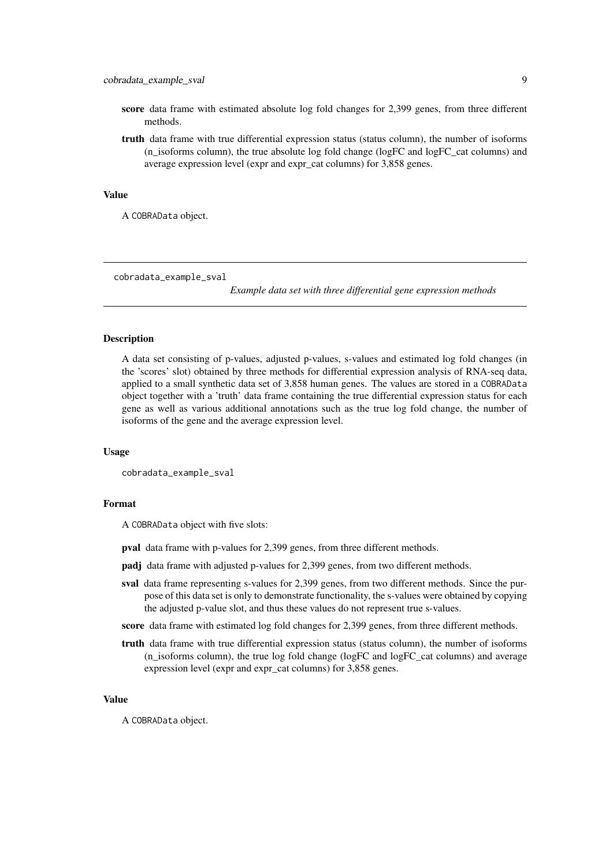- <span id="page-8-0"></span>score data frame with estimated absolute log fold changes for 2,399 genes, from three different methods.
- truth data frame with true differential expression status (status column), the number of isoforms (n\_isoforms column), the true absolute log fold change (logFC and logFC\_cat columns) and average expression level (expr and expr\_cat columns) for 3,858 genes.

#### Value

A COBRAData object.

cobradata\_example\_sval

*Example data set with three differential gene expression methods*

#### Description

A data set consisting of p-values, adjusted p-values, s-values and estimated log fold changes (in the 'scores' slot) obtained by three methods for differential expression analysis of RNA-seq data, applied to a small synthetic data set of 3,858 human genes. The values are stored in a COBRAData object together with a 'truth' data frame containing the true differential expression status for each gene as well as various additional annotations such as the true log fold change, the number of isoforms of the gene and the average expression level.

#### Usage

cobradata\_example\_sval

#### Format

A COBRAData object with five slots:

pval data frame with p-values for 2,399 genes, from three different methods.

- padj data frame with adjusted p-values for 2,399 genes, from two different methods.
- sval data frame representing s-values for 2,399 genes, from two different methods. Since the purpose of this data set is only to demonstrate functionality, the s-values were obtained by copying the adjusted p-value slot, and thus these values do not represent true s-values.
- score data frame with estimated log fold changes for 2,399 genes, from three different methods.
- truth data frame with true differential expression status (status column), the number of isoforms (n\_isoforms column), the true log fold change (logFC and logFC\_cat columns) and average expression level (expr and expr\_cat columns) for 3,858 genes.

#### Value

A COBRAData object.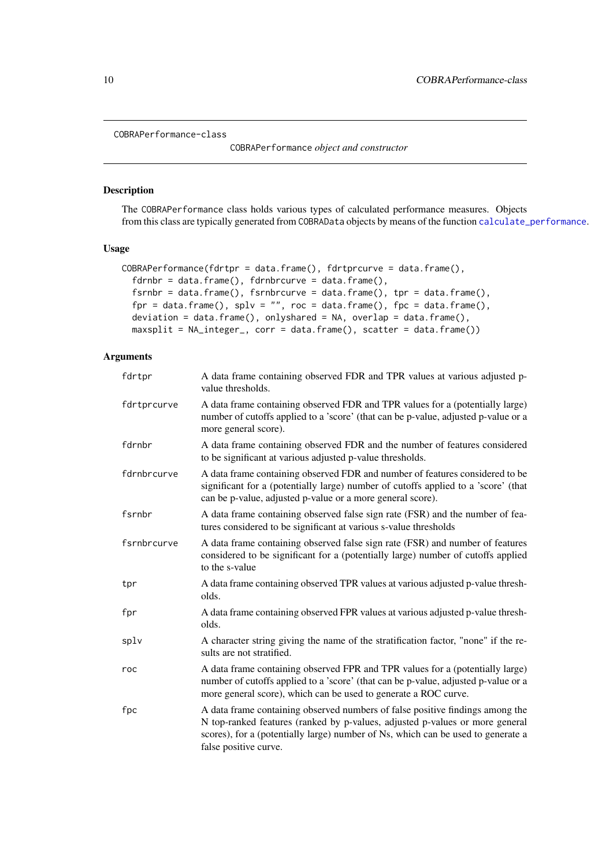#### <span id="page-9-0"></span>COBRAPerformance-class

COBRAPerformance *object and constructor*

#### Description

The COBRAPerformance class holds various types of calculated performance measures. Objects from this class are typically generated from COBRAData objects by means of the function [calculate\\_performance](#page-3-1).

## Usage

```
COBRAPerformance(fdrtpr = data.frame(), fdrtprcurve = data.frame(),
 fdrnbr = data.frame(), fdrnbrcurve = data.frame(),
 fsrnbr = data.frame(), fsrnbrcurve = data.frame(), tpr = data.frame(),
 fpr = data.frame(), splv = "", roc = data.frame(), fpc = data.frame(),
 deviation = data.frame(), onlyshared = NA, overlap = data.frame(),
 maxsplit = NA_integer_, corr = data.frame(), scatter = data.frame())
```
#### Arguments

| fdrtpr      | A data frame containing observed FDR and TPR values at various adjusted p-<br>value thresholds.                                                                                                                                                                            |
|-------------|----------------------------------------------------------------------------------------------------------------------------------------------------------------------------------------------------------------------------------------------------------------------------|
| fdrtprcurve | A data frame containing observed FDR and TPR values for a (potentially large)<br>number of cutoffs applied to a 'score' (that can be p-value, adjusted p-value or a<br>more general score).                                                                                |
| fdrnbr      | A data frame containing observed FDR and the number of features considered<br>to be significant at various adjusted p-value thresholds.                                                                                                                                    |
| fdrnbrcurve | A data frame containing observed FDR and number of features considered to be<br>significant for a (potentially large) number of cutoffs applied to a 'score' (that<br>can be p-value, adjusted p-value or a more general score).                                           |
| fsrnbr      | A data frame containing observed false sign rate (FSR) and the number of fea-<br>tures considered to be significant at various s-value thresholds                                                                                                                          |
| fsrnbrcurve | A data frame containing observed false sign rate (FSR) and number of features<br>considered to be significant for a (potentially large) number of cutoffs applied<br>to the s-value                                                                                        |
| tpr         | A data frame containing observed TPR values at various adjusted p-value thresh-<br>olds.                                                                                                                                                                                   |
| fpr         | A data frame containing observed FPR values at various adjusted p-value thresh-<br>olds.                                                                                                                                                                                   |
| splv        | A character string giving the name of the stratification factor, "none" if the re-<br>sults are not stratified.                                                                                                                                                            |
| roc         | A data frame containing observed FPR and TPR values for a (potentially large)<br>number of cutoffs applied to a 'score' (that can be p-value, adjusted p-value or a<br>more general score), which can be used to generate a ROC curve.                                     |
| fpc         | A data frame containing observed numbers of false positive findings among the<br>N top-ranked features (ranked by p-values, adjusted p-values or more general<br>scores), for a (potentially large) number of Ns, which can be used to generate a<br>false positive curve. |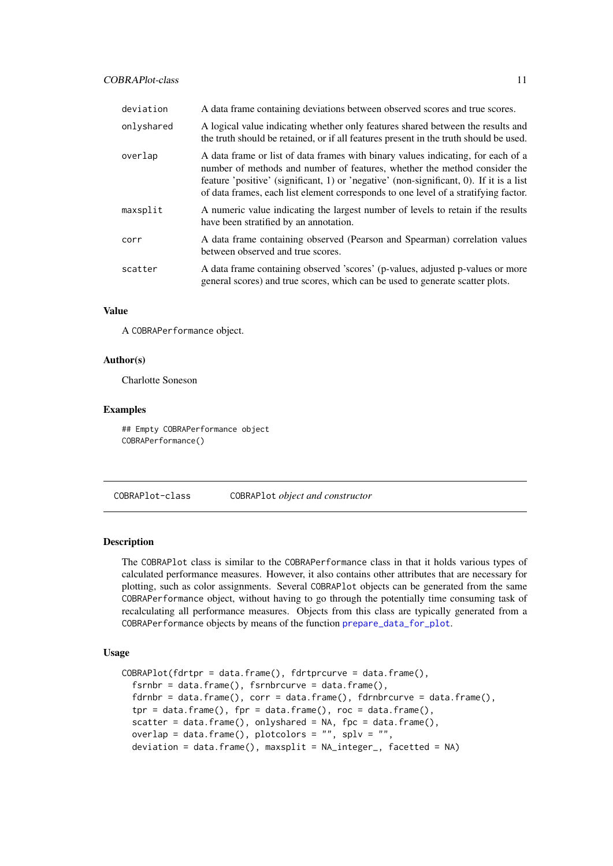<span id="page-10-0"></span>

| deviation  | A data frame containing deviations between observed scores and true scores.                                                                                                                                                                                                                                                                     |
|------------|-------------------------------------------------------------------------------------------------------------------------------------------------------------------------------------------------------------------------------------------------------------------------------------------------------------------------------------------------|
| onlyshared | A logical value indicating whether only features shared between the results and<br>the truth should be retained, or if all features present in the truth should be used.                                                                                                                                                                        |
| overlap    | A data frame or list of data frames with binary values indicating, for each of a<br>number of methods and number of features, whether the method consider the<br>feature 'positive' (significant, 1) or 'negative' (non-significant, 0). If it is a list<br>of data frames, each list element corresponds to one level of a stratifying factor. |
| maxsplit   | A numeric value indicating the largest number of levels to retain if the results<br>have been stratified by an annotation.                                                                                                                                                                                                                      |
| corr       | A data frame containing observed (Pearson and Spearman) correlation values<br>between observed and true scores.                                                                                                                                                                                                                                 |
| scatter    | A data frame containing observed 'scores' (p-values, adjusted p-values or more<br>general scores) and true scores, which can be used to generate scatter plots.                                                                                                                                                                                 |

## Value

A COBRAPerformance object.

#### Author(s)

Charlotte Soneson

#### Examples

## Empty COBRAPerformance object COBRAPerformance()

COBRAPlot-class COBRAPlot *object and constructor*

#### Description

The COBRAPlot class is similar to the COBRAPerformance class in that it holds various types of calculated performance measures. However, it also contains other attributes that are necessary for plotting, such as color assignments. Several COBRAPlot objects can be generated from the same COBRAPerformance object, without having to go through the potentially time consuming task of recalculating all performance measures. Objects from this class are typically generated from a COBRAPerformance objects by means of the function [prepare\\_data\\_for\\_plot](#page-40-1).

## Usage

```
CORRAPlot(fdrtpr = data.frame(), fdrtprcurve = data.frame(),fsrnbr = data.frame(), fsrnbrcurve = data.frame(),fdrnbr = data.frame(), corr = data.frame(), fdrnbrcurve = data.frame(),
  tpr = data.frame(), fpr = data.frame(), roc = data.frame(),
  scatter = data.frame(), onlyshared = NA, fpc = data.frame(),
 overlap = data.frame(), plotcolors = ", splv = ",
 deviation = data.frame(), maxsplit = NA_integer_, facetted = NA)
```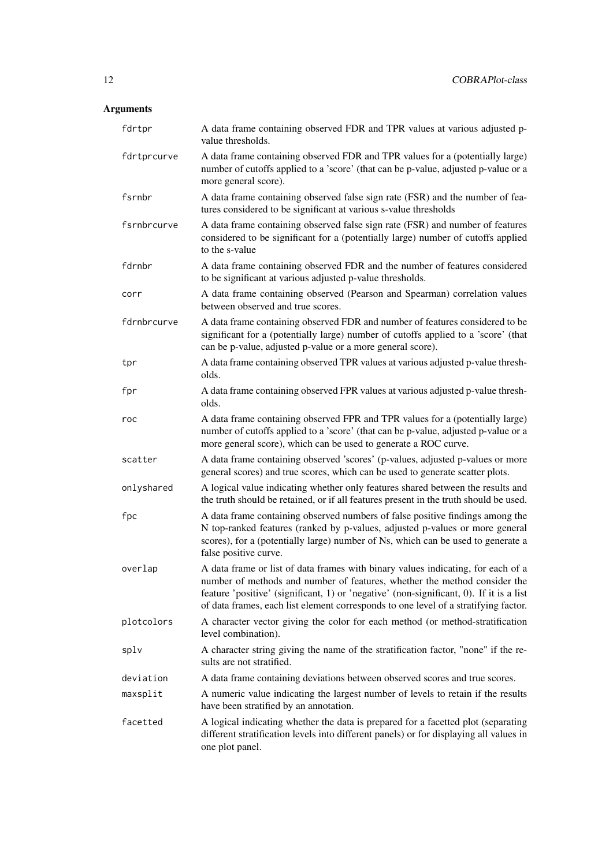## Arguments

| fdrtpr      | A data frame containing observed FDR and TPR values at various adjusted p-<br>value thresholds.                                                                                                                                                                                                                                                 |
|-------------|-------------------------------------------------------------------------------------------------------------------------------------------------------------------------------------------------------------------------------------------------------------------------------------------------------------------------------------------------|
| fdrtprcurve | A data frame containing observed FDR and TPR values for a (potentially large)<br>number of cutoffs applied to a 'score' (that can be p-value, adjusted p-value or a<br>more general score).                                                                                                                                                     |
| fsrnbr      | A data frame containing observed false sign rate (FSR) and the number of fea-<br>tures considered to be significant at various s-value thresholds                                                                                                                                                                                               |
| fsrnbrcurve | A data frame containing observed false sign rate (FSR) and number of features<br>considered to be significant for a (potentially large) number of cutoffs applied<br>to the s-value                                                                                                                                                             |
| fdrnbr      | A data frame containing observed FDR and the number of features considered<br>to be significant at various adjusted p-value thresholds.                                                                                                                                                                                                         |
| corr        | A data frame containing observed (Pearson and Spearman) correlation values<br>between observed and true scores.                                                                                                                                                                                                                                 |
| fdrnbrcurve | A data frame containing observed FDR and number of features considered to be<br>significant for a (potentially large) number of cutoffs applied to a 'score' (that<br>can be p-value, adjusted p-value or a more general score).                                                                                                                |
| tpr         | A data frame containing observed TPR values at various adjusted p-value thresh-<br>olds.                                                                                                                                                                                                                                                        |
| fpr         | A data frame containing observed FPR values at various adjusted p-value thresh-<br>olds.                                                                                                                                                                                                                                                        |
| roc         | A data frame containing observed FPR and TPR values for a (potentially large)<br>number of cutoffs applied to a 'score' (that can be p-value, adjusted p-value or a<br>more general score), which can be used to generate a ROC curve.                                                                                                          |
| scatter     | A data frame containing observed 'scores' (p-values, adjusted p-values or more<br>general scores) and true scores, which can be used to generate scatter plots.                                                                                                                                                                                 |
| onlyshared  | A logical value indicating whether only features shared between the results and<br>the truth should be retained, or if all features present in the truth should be used.                                                                                                                                                                        |
| fpc         | A data frame containing observed numbers of false positive findings among the<br>N top-ranked features (ranked by p-values, adjusted p-values or more general<br>scores), for a (potentially large) number of Ns, which can be used to generate a<br>false positive curve.                                                                      |
| overlap     | A data frame or list of data frames with binary values indicating, for each of a<br>number of methods and number of features, whether the method consider the<br>feature 'positive' (significant, 1) or 'negative' (non-significant, 0). If it is a list<br>of data frames, each list element corresponds to one level of a stratifying factor. |
| plotcolors  | A character vector giving the color for each method (or method-stratification<br>level combination).                                                                                                                                                                                                                                            |
| splv        | A character string giving the name of the stratification factor, "none" if the re-<br>sults are not stratified.                                                                                                                                                                                                                                 |
| deviation   | A data frame containing deviations between observed scores and true scores.                                                                                                                                                                                                                                                                     |
| maxsplit    | A numeric value indicating the largest number of levels to retain if the results<br>have been stratified by an annotation.                                                                                                                                                                                                                      |
| facetted    | A logical indicating whether the data is prepared for a facetted plot (separating<br>different stratification levels into different panels) or for displaying all values in<br>one plot panel.                                                                                                                                                  |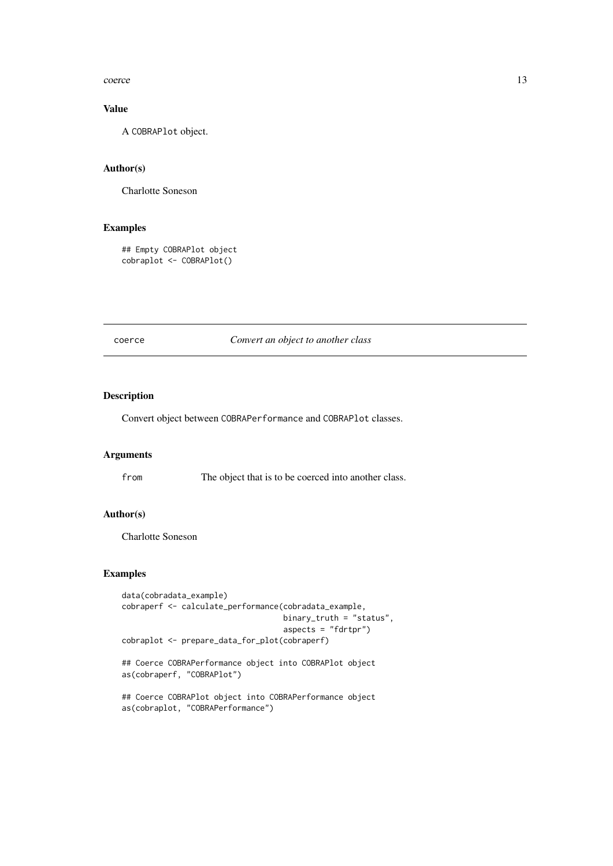#### <span id="page-12-0"></span>coerce and the coerce is a set of the coerce is a set of the coerce is a set of the coerce is a set of the coerce is a set of the coerce is a set of the coerce is a set of the coerce is a set of the coerce is a set of the

## Value

A COBRAPlot object.

## Author(s)

Charlotte Soneson

## Examples

```
## Empty COBRAPlot object
cobraplot <- COBRAPlot()
```
#### coerce *Convert an object to another class*

## Description

Convert object between COBRAPerformance and COBRAPlot classes.

## Arguments

from The object that is to be coerced into another class.

## Author(s)

Charlotte Soneson

```
data(cobradata_example)
cobraperf <- calculate_performance(cobradata_example,
                                   binary_truth = "status",
                                   aspects = "fdrtpr")
cobraplot <- prepare_data_for_plot(cobraperf)
```

```
## Coerce COBRAPerformance object into COBRAPlot object
as(cobraperf, "COBRAPlot")
```

```
## Coerce COBRAPlot object into COBRAPerformance object
as(cobraplot, "COBRAPerformance")
```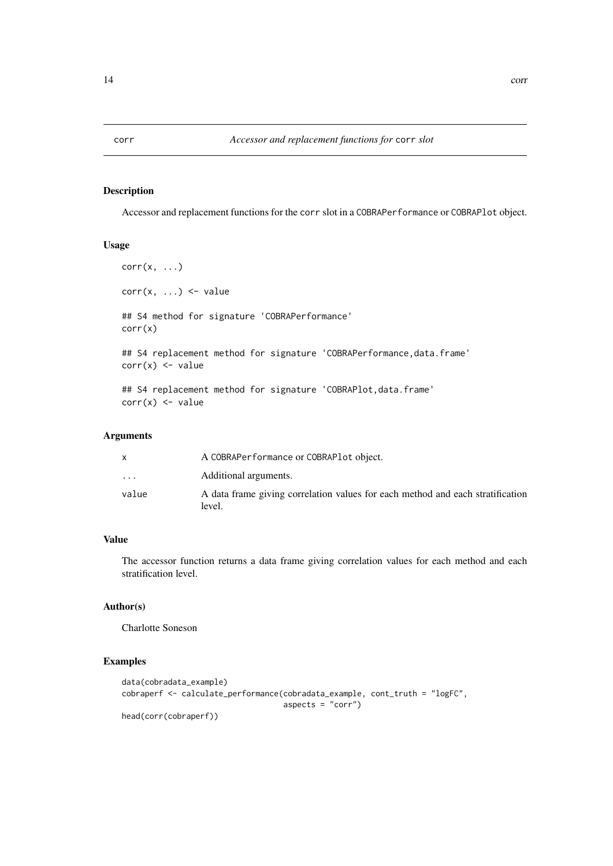Accessor and replacement functions for the corr slot in a COBRAPerformance or COBRAPlot object.

#### Usage

```
corr(x, \ldots)corr(x, \ldots) \leq value## S4 method for signature 'COBRAPerformance'
corr(x)
## S4 replacement method for signature 'COBRAPerformance, data.frame'
corr(x) <- value
## S4 replacement method for signature 'COBRAPlot, data.frame'
corr(x) <- value
```
## Arguments

|           | A COBRAPerformance or COBRAPlot object.                                                  |
|-----------|------------------------------------------------------------------------------------------|
| $\ddotsc$ | Additional arguments.                                                                    |
| value     | A data frame giving correlation values for each method and each stratification<br>level. |

## Value

The accessor function returns a data frame giving correlation values for each method and each stratification level.

## Author(s)

Charlotte Soneson

### Examples

```
data(cobradata_example)
cobraperf <- calculate_performance(cobradata_example, cont_truth = "logFC",
                                  aspects = "corr")head(corr(cobraperf))
```
<span id="page-13-0"></span>corr *Accessor and replacement functions for* corr *slot*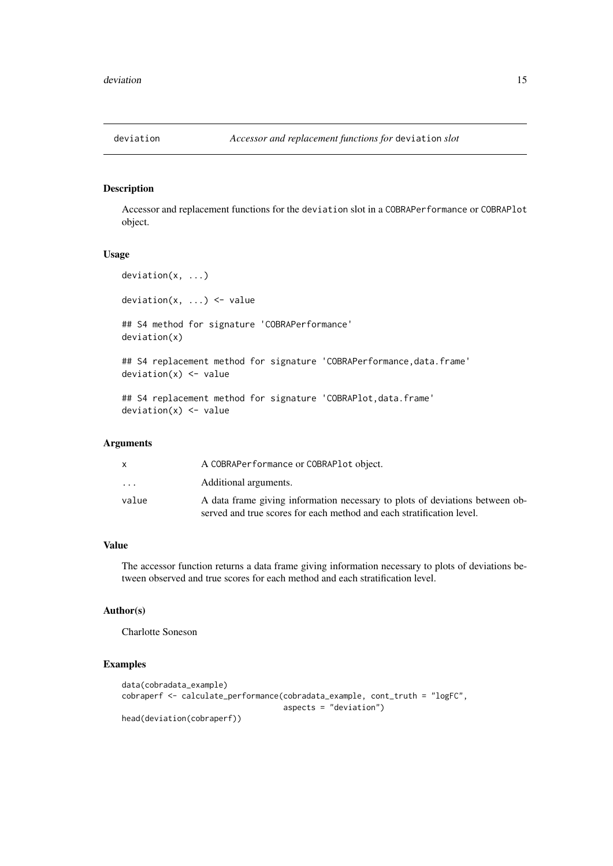<span id="page-14-0"></span>

Accessor and replacement functions for the deviation slot in a COBRAPerformance or COBRAPlot object.

## Usage

```
deviation(x, ...)
deviation(x, \ldots) <- value
## S4 method for signature 'COBRAPerformance'
deviation(x)
## S4 replacement method for signature 'COBRAPerformance, data.frame'
deviation(x) <- value
## S4 replacement method for signature 'COBRAPlot, data.frame'
deviation(x) < - value
```
## Arguments

|          | A COBRAPerformance or COBRAPlot object.                                                                                                               |
|----------|-------------------------------------------------------------------------------------------------------------------------------------------------------|
| $\cdots$ | Additional arguments.                                                                                                                                 |
| value    | A data frame giving information necessary to plots of deviations between ob-<br>served and true scores for each method and each stratification level. |

## Value

The accessor function returns a data frame giving information necessary to plots of deviations between observed and true scores for each method and each stratification level.

#### Author(s)

Charlotte Soneson

```
data(cobradata_example)
cobraperf <- calculate_performance(cobradata_example, cont_truth = "logFC",
                                  aspects = "deviation")
head(deviation(cobraperf))
```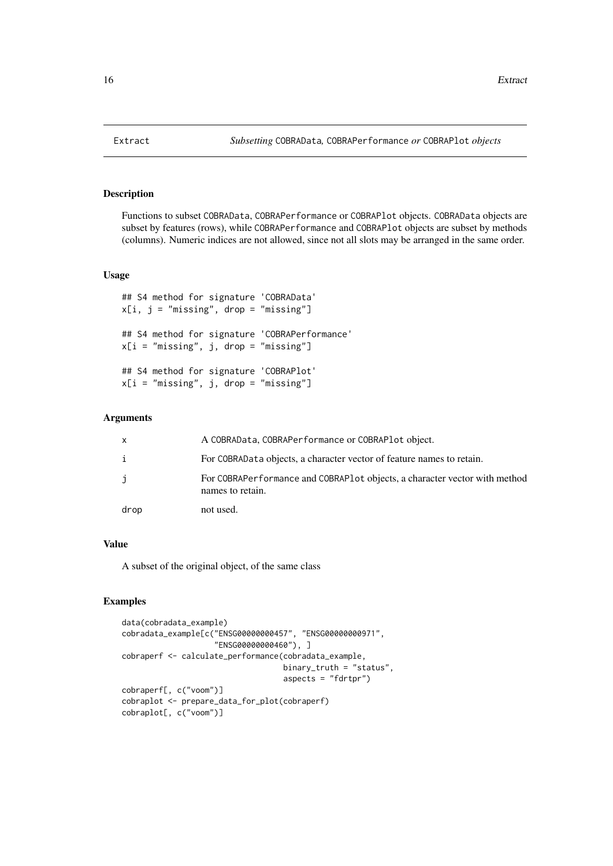<span id="page-15-0"></span>Functions to subset COBRAData, COBRAPerformance or COBRAPlot objects. COBRAData objects are subset by features (rows), while COBRAPerformance and COBRAPlot objects are subset by methods (columns). Numeric indices are not allowed, since not all slots may be arranged in the same order.

## Usage

```
## S4 method for signature 'COBRAData'
x[i, j = "missing", drop = "missing"]## S4 method for signature 'COBRAPerformance'
x[i = "missing", j, drop = "missing"]## S4 method for signature 'COBRAPlot'
x[i = "missing", j, drop = "missing"]
```
#### Arguments

| $\mathsf{x}$ | A COBRAData, COBRAPerformance or COBRAPlot object.                                              |
|--------------|-------------------------------------------------------------------------------------------------|
| i            | For COBRAData objects, a character vector of feature names to retain.                           |
| j.           | For COBRAPerformance and COBRAP lot objects, a character vector with method<br>names to retain. |
| drop         | not used.                                                                                       |

#### Value

A subset of the original object, of the same class

```
data(cobradata_example)
cobradata_example[c("ENSG00000000457", "ENSG00000000971",
                    "ENSG00000000460"), ]
cobraperf <- calculate_performance(cobradata_example,
                                   binary_truth = "status",
                                   aspects = "fdrtpr")cobraperf[, c("voom")]
cobraplot <- prepare_data_for_plot(cobraperf)
cobraplot[, c("voom")]
```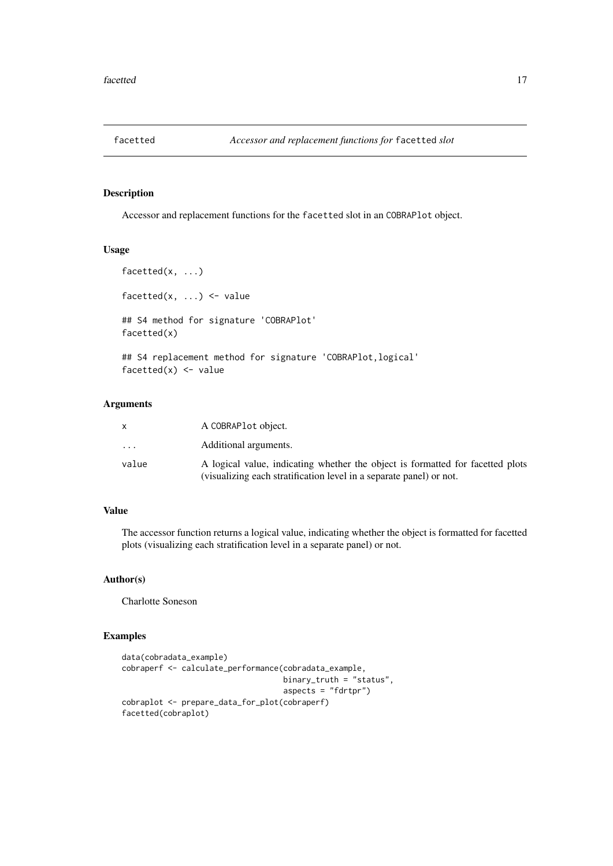<span id="page-16-0"></span>

Accessor and replacement functions for the facetted slot in an COBRAPlot object.

## Usage

```
facetted(x, ...)
facetted(x, \dots) <- value
## S4 method for signature 'COBRAPlot'
facetted(x)
```
## S4 replacement method for signature 'COBRAPlot,logical' facetted $(x)$  <- value

## Arguments

|                         | A COBRAPL ot object.                                                                                                                                  |
|-------------------------|-------------------------------------------------------------------------------------------------------------------------------------------------------|
| $\cdot$ $\cdot$ $\cdot$ | Additional arguments.                                                                                                                                 |
| value                   | A logical value, indicating whether the object is formatted for facetted plots<br>(visualizing each stratification level in a separate panel) or not. |

## Value

The accessor function returns a logical value, indicating whether the object is formatted for facetted plots (visualizing each stratification level in a separate panel) or not.

#### Author(s)

Charlotte Soneson

```
data(cobradata_example)
cobraperf <- calculate_performance(cobradata_example,
                                  binary_truth = "status",
                                  aspects = "fdrtpr")
cobraplot <- prepare_data_for_plot(cobraperf)
facetted(cobraplot)
```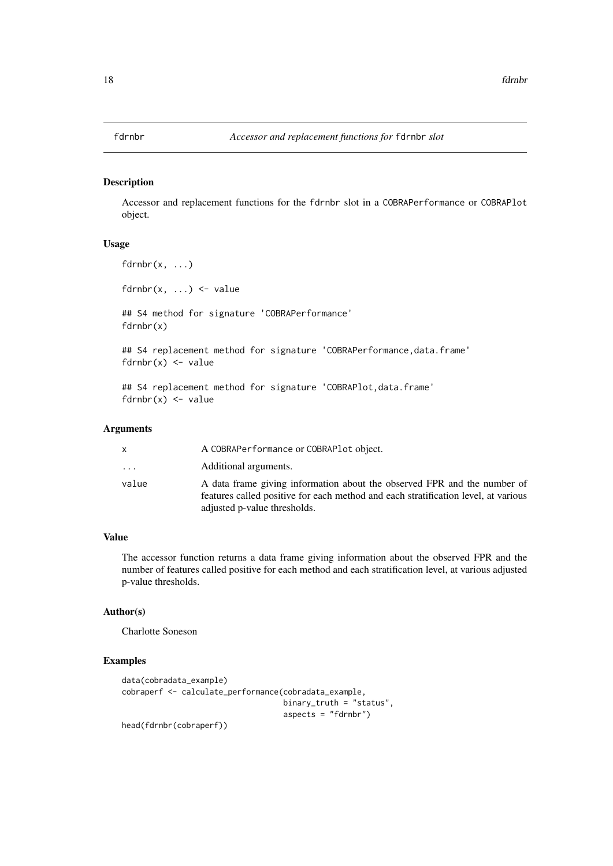<span id="page-17-0"></span>Accessor and replacement functions for the fdrnbr slot in a COBRAPerformance or COBRAPlot object.

#### Usage

```
fdrnbr(x, ...)fdrnbr(x, ...) \leq value## S4 method for signature 'COBRAPerformance'
fdrnbr(x)
## S4 replacement method for signature 'COBRAPerformance, data.frame'
fdrnbr(x) < - value
## S4 replacement method for signature 'COBRAPlot, data.frame'
fdrnbr(x) < - value
```
#### Arguments

| x        | A COBRAPerformance or COBRAPlot object.                                                                                                                                                        |
|----------|------------------------------------------------------------------------------------------------------------------------------------------------------------------------------------------------|
| $\cdots$ | Additional arguments.                                                                                                                                                                          |
| value    | A data frame giving information about the observed FPR and the number of<br>features called positive for each method and each stratification level, at various<br>adjusted p-value thresholds. |

#### Value

The accessor function returns a data frame giving information about the observed FPR and the number of features called positive for each method and each stratification level, at various adjusted p-value thresholds.

#### Author(s)

Charlotte Soneson

```
data(cobradata_example)
cobraperf <- calculate_performance(cobradata_example,
                                  binary_truth = "status",
                                   aspects = "fdrnbr")
head(fdrnbr(cobraperf))
```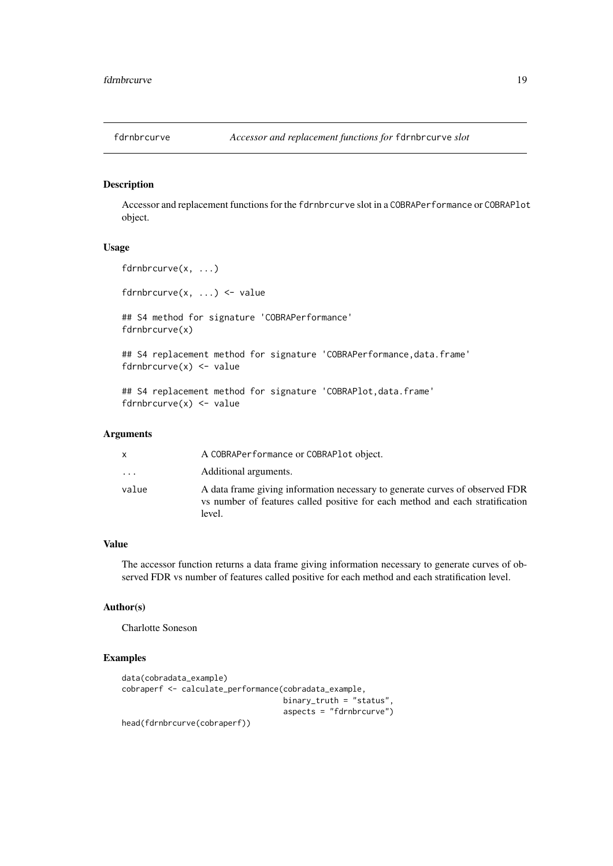<span id="page-18-0"></span>

Accessor and replacement functions for the fdrnbrcurve slot in a COBRAPerformance or COBRAPlot object.

#### Usage

```
fdrnbrcurve(x, ...)
fdrnbrcurve(x, \ldots) <- value
## S4 method for signature 'COBRAPerformance'
fdrnbrcurve(x)
## S4 replacement method for signature 'COBRAPerformance, data.frame'
fdrnbrcurve(x) <- value
## S4 replacement method for signature 'COBRAPlot,data.frame'
fdrnbrcurve(x) <- value
```
## Arguments

|          | A COBRAPerformance or COBRAPlot object.                                                                                                                                    |
|----------|----------------------------------------------------------------------------------------------------------------------------------------------------------------------------|
| $\cdots$ | Additional arguments.                                                                                                                                                      |
| value    | A data frame giving information necessary to generate curves of observed FDR<br>is vs number of features called positive for each method and each stratification<br>level. |

## Value

The accessor function returns a data frame giving information necessary to generate curves of observed FDR vs number of features called positive for each method and each stratification level.

## Author(s)

Charlotte Soneson

```
data(cobradata_example)
cobraperf <- calculate_performance(cobradata_example,
                                  binary_truth = "status",
                                   aspects = "fdrnbrcurve")
head(fdrnbrcurve(cobraperf))
```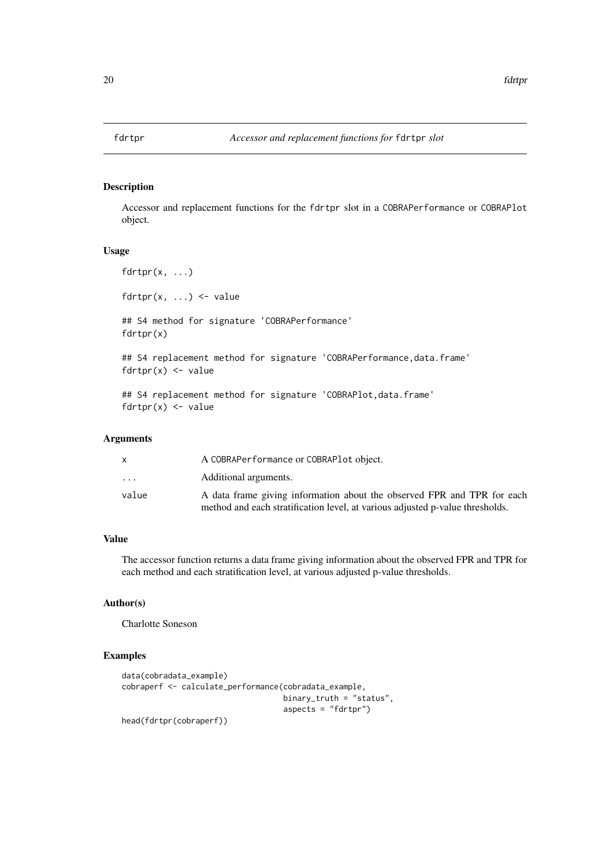<span id="page-19-0"></span>Accessor and replacement functions for the fdrtpr slot in a COBRAPerformance or COBRAPlot object.

#### Usage

```
fdrtpr(x, \ldots)fdrtpr(x, \ldots) \leq value
## S4 method for signature 'COBRAPerformance'
fdrtpr(x)
## S4 replacement method for signature 'COBRAPerformance, data.frame'
fdrtpr(x) \leftarrow value
```
## S4 replacement method for signature 'COBRAPlot, data.frame'  $fdrtpr(x) \leq -v$ alue

## Arguments

|                         | A COBRAPerformance or COBRAPlot object.                                       |
|-------------------------|-------------------------------------------------------------------------------|
| $\cdot$ $\cdot$ $\cdot$ | Additional arguments.                                                         |
| value                   | A data frame giving information about the observed FPR and TPR for each       |
|                         | method and each stratification level, at various adjusted p-value thresholds. |

## Value

The accessor function returns a data frame giving information about the observed FPR and TPR for each method and each stratification level, at various adjusted p-value thresholds.

## Author(s)

Charlotte Soneson

```
data(cobradata_example)
cobraperf <- calculate_performance(cobradata_example,
                                   binary_truth = "status",
                                   aspects = "fdrtpr")
head(fdrtpr(cobraperf))
```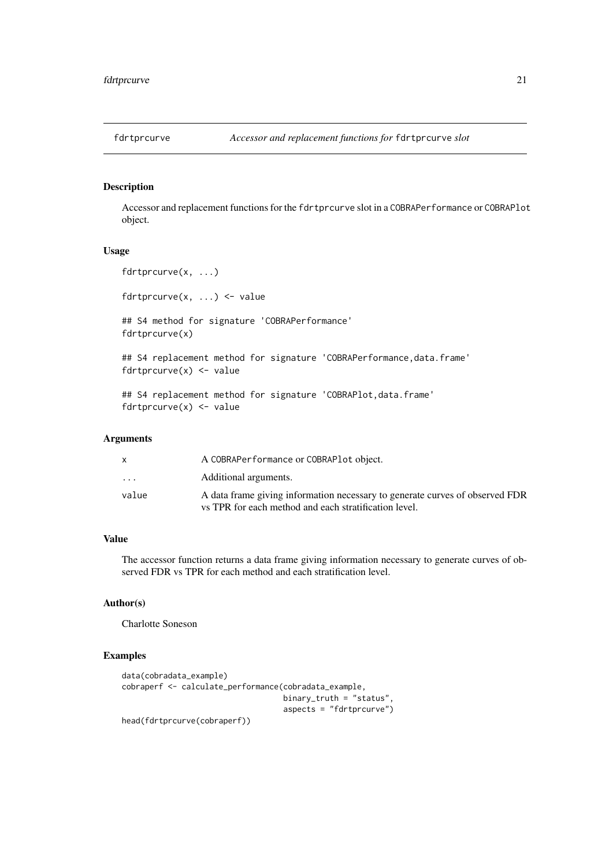<span id="page-20-0"></span>

Accessor and replacement functions for the fdrtprcurve slot in a COBRAPerformance or COBRAPlot object.

#### Usage

```
fdrtprcurve(x, ...)
fdrtprcurve(x, \ldots) \leq value
## S4 method for signature 'COBRAPerformance'
fdrtprcurve(x)
## S4 replacement method for signature 'COBRAPerformance, data.frame'
fdrtprcurve(x) <- value
## S4 replacement method for signature 'COBRAPlot, data.frame'
fdrtprcurve(x) <- value
```
## Arguments

|                         | A COBRAPerformance or COBRAPlot object.                                                                                               |
|-------------------------|---------------------------------------------------------------------------------------------------------------------------------------|
| $\cdot$ $\cdot$ $\cdot$ | Additional arguments.                                                                                                                 |
| value                   | A data frame giving information necessary to generate curves of observed FDR<br>vs TPR for each method and each stratification level. |

## Value

The accessor function returns a data frame giving information necessary to generate curves of observed FDR vs TPR for each method and each stratification level.

## Author(s)

Charlotte Soneson

```
data(cobradata_example)
cobraperf <- calculate_performance(cobradata_example,
                                   binary_truth = "status",
                                   aspects = "fdrtprcurve")
head(fdrtprcurve(cobraperf))
```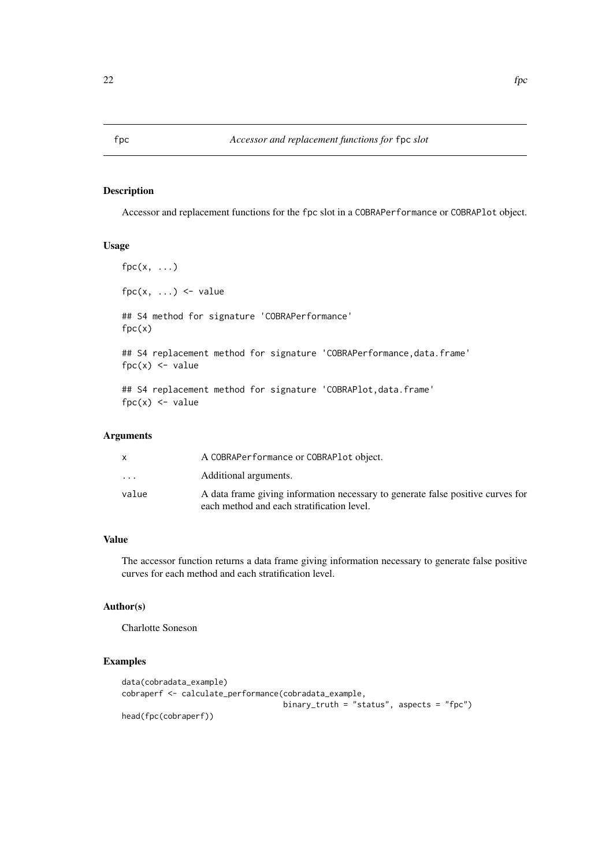<span id="page-21-0"></span>Accessor and replacement functions for the fpc slot in a COBRAPerformance or COBRAPlot object.

#### Usage

```
fpc(x, \ldots)fpc(x, \ldots) \leq value## S4 method for signature 'COBRAPerformance'
fpc(x)## S4 replacement method for signature 'COBRAPerformance, data.frame'
fpc(x) <- value
## S4 replacement method for signature 'COBRAPlot, data.frame'
fpc(x) <- value
```
## Arguments

|                         | A COBRAPerformance or COBRAPlot object.                                                                                       |
|-------------------------|-------------------------------------------------------------------------------------------------------------------------------|
| $\cdot$ $\cdot$ $\cdot$ | Additional arguments.                                                                                                         |
| value                   | A data frame giving information necessary to generate false positive curves for<br>each method and each stratification level. |

## Value

The accessor function returns a data frame giving information necessary to generate false positive curves for each method and each stratification level.

## Author(s)

Charlotte Soneson

```
data(cobradata_example)
cobraperf <- calculate_performance(cobradata_example,
                                  binary_truth = "status", aspects = "fpc")
head(fpc(cobraperf))
```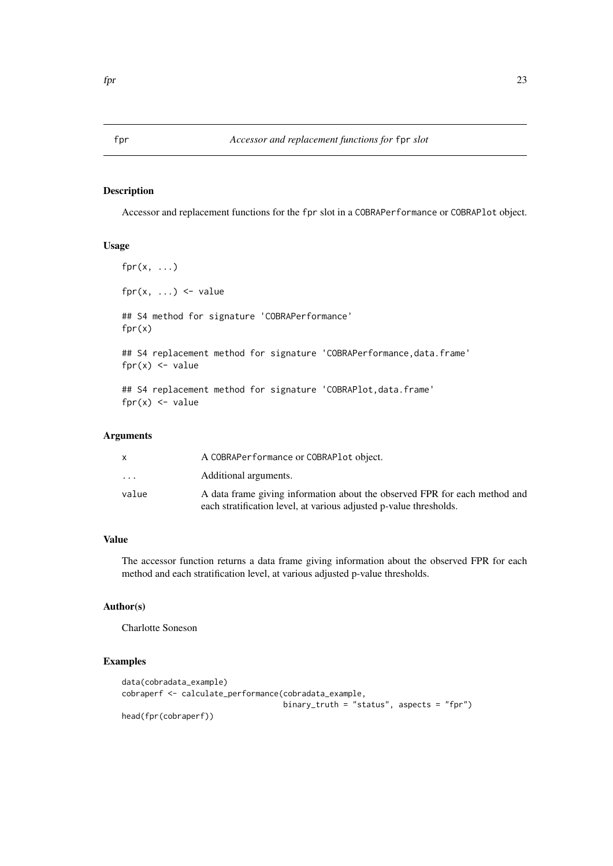Accessor and replacement functions for the fpr slot in a COBRAPerformance or COBRAPlot object.

#### Usage

```
fpr(x, \ldots)fpr(x, \ldots) <- value
## S4 method for signature 'COBRAPerformance'
fpr(x)
## S4 replacement method for signature 'COBRAPerformance, data.frame'
fpr(x) <- value
## S4 replacement method for signature 'COBRAPlot, data.frame'
fpr(x) <- value
```
## Arguments

| X       | A COBRAPerformance or COBRAPlot object.                                                                                                          |
|---------|--------------------------------------------------------------------------------------------------------------------------------------------------|
| $\cdot$ | Additional arguments.                                                                                                                            |
| value   | A data frame giving information about the observed FPR for each method and<br>each stratification level, at various adjusted p-value thresholds. |

## Value

The accessor function returns a data frame giving information about the observed FPR for each method and each stratification level, at various adjusted p-value thresholds.

## Author(s)

Charlotte Soneson

```
data(cobradata_example)
cobraperf <- calculate_performance(cobradata_example,
                                   binary_truth = "status", aspects = "fpr")
head(fpr(cobraperf))
```
<span id="page-22-0"></span>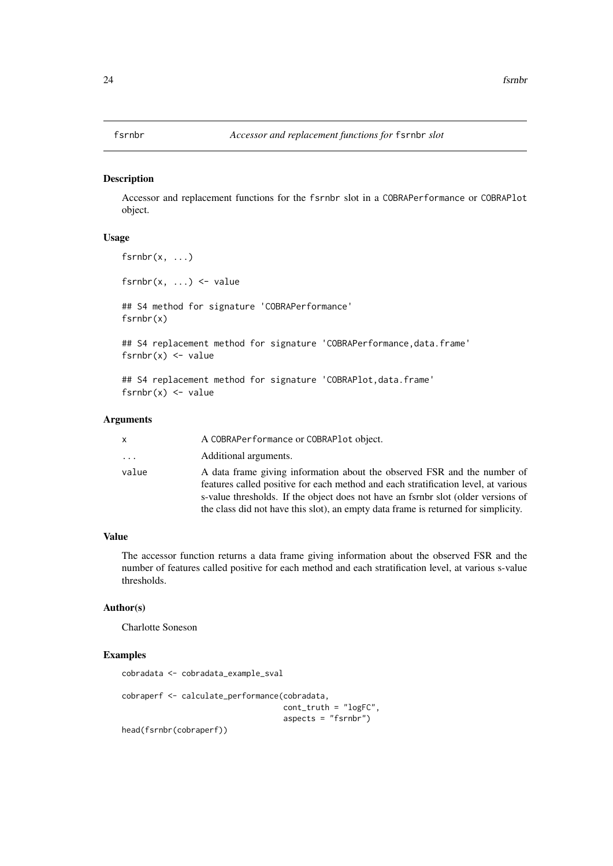<span id="page-23-0"></span>Accessor and replacement functions for the fsrnbr slot in a COBRAPerformance or COBRAPlot object.

## Usage

```
fsrnbr(x, ...)
fsrnbr(x, \ldots) <- value
## S4 method for signature 'COBRAPerformance'
fsrnbr(x)
## S4 replacement method for signature 'COBRAPerformance, data.frame'
fsrnbr(x) < - value## S4 replacement method for signature 'COBRAPlot, data.frame'
fsrnbr(x) < - value
```
#### Arguments

| x        | A COBRAPerformance or COBRAPlot object.                                                                                                                                                                                                                                                                                                   |
|----------|-------------------------------------------------------------------------------------------------------------------------------------------------------------------------------------------------------------------------------------------------------------------------------------------------------------------------------------------|
| $\cdots$ | Additional arguments.                                                                                                                                                                                                                                                                                                                     |
| value    | A data frame giving information about the observed FSR and the number of<br>features called positive for each method and each stratification level, at various<br>s-value thresholds. If the object does not have an fsrnbr slot (older versions of<br>the class did not have this slot), an empty data frame is returned for simplicity. |

## Value

The accessor function returns a data frame giving information about the observed FSR and the number of features called positive for each method and each stratification level, at various s-value thresholds.

#### Author(s)

Charlotte Soneson

#### Examples

cobradata <- cobradata\_example\_sval

```
cobraperf <- calculate_performance(cobradata,
                                  cont_truth = "logFC",
                                  aspects = "fsrnbr"
```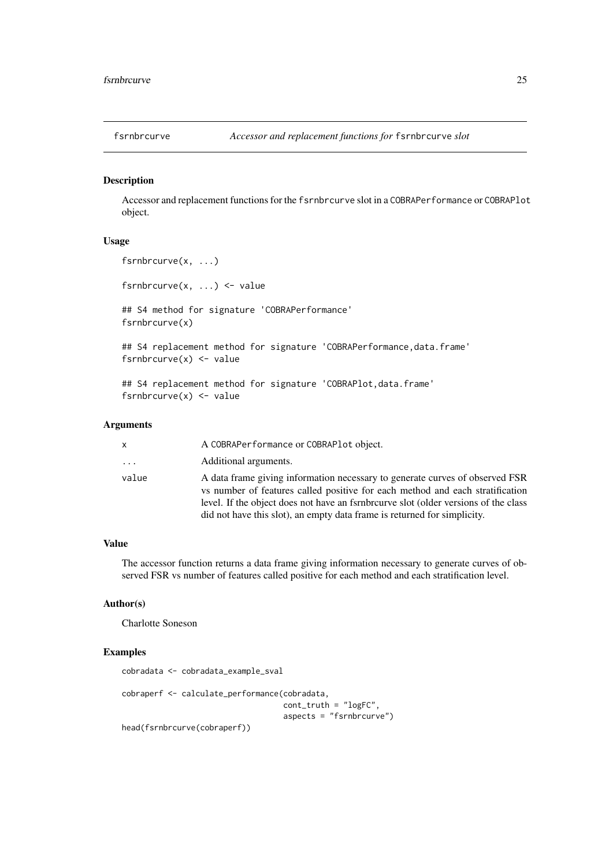<span id="page-24-0"></span>

Accessor and replacement functions for the fsrnbrcurve slot in a COBRAPerformance or COBRAPlot object.

## Usage

```
fsrnbrcurve(x, ...)
fsrnbrcurve(x, ...) <- value
## S4 method for signature 'COBRAPerformance'
fsrnbrcurve(x)
## S4 replacement method for signature 'COBRAPerformance, data.frame'
fsrnbrcurve(x) <- value
## S4 replacement method for signature 'COBRAPlot, data.frame'
fsrnbrcurve(x) <- value
```
## Arguments

| x        | A COBRAPerformance or COBRAPlot object.                                                                                                                                                                                                                                                                                          |
|----------|----------------------------------------------------------------------------------------------------------------------------------------------------------------------------------------------------------------------------------------------------------------------------------------------------------------------------------|
| $\cdots$ | Additional arguments.                                                                                                                                                                                                                                                                                                            |
| value    | A data frame giving information necessary to generate curves of observed FSR<br>vs number of features called positive for each method and each stratification<br>level. If the object does not have an fsrnbrourve slot (older versions of the class<br>did not have this slot), an empty data frame is returned for simplicity. |

## Value

The accessor function returns a data frame giving information necessary to generate curves of observed FSR vs number of features called positive for each method and each stratification level.

## Author(s)

Charlotte Soneson

## Examples

```
cobradata <- cobradata_example_sval
cobraperf <- calculate_performance(cobradata,
                                   cont_truth = "logFC",
                                   aspects = "fsrnbrcurve")
```
head(fsrnbrcurve(cobraperf))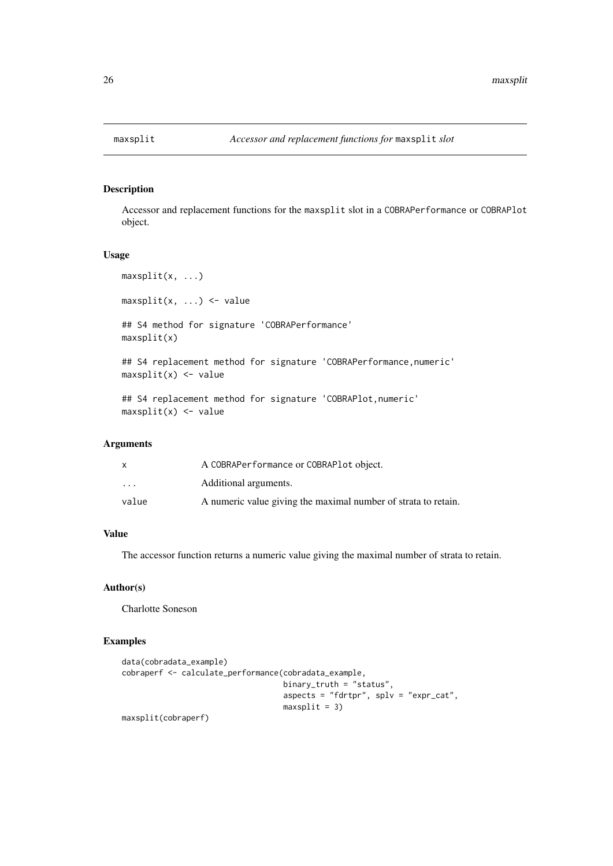<span id="page-25-0"></span>Accessor and replacement functions for the maxsplit slot in a COBRAPerformance or COBRAPlot object.

## Usage

```
maxsplit(x, ...)maxsplit(x, \ldots) \leq -value## S4 method for signature 'COBRAPerformance'
maxsplit(x)
## S4 replacement method for signature 'COBRAPerformance, numeric'
maxsplit(x) < - value## S4 replacement method for signature 'COBRAPlot,numeric'
maxsplit(x) < - value
```
## Arguments

|                         | A COBRAPerformance or COBRAPlot object.                        |
|-------------------------|----------------------------------------------------------------|
| $\cdot$ $\cdot$ $\cdot$ | Additional arguments.                                          |
| value                   | A numeric value giving the maximal number of strata to retain. |

## Value

The accessor function returns a numeric value giving the maximal number of strata to retain.

## Author(s)

Charlotte Soneson

## Examples

```
data(cobradata_example)
cobraperf <- calculate_performance(cobradata_example,
                                   binary_truth = "status",
                                   aspects = "fdrtpr", splv = "expr\_cat",maxsplit = 3)
```
maxsplit(cobraperf)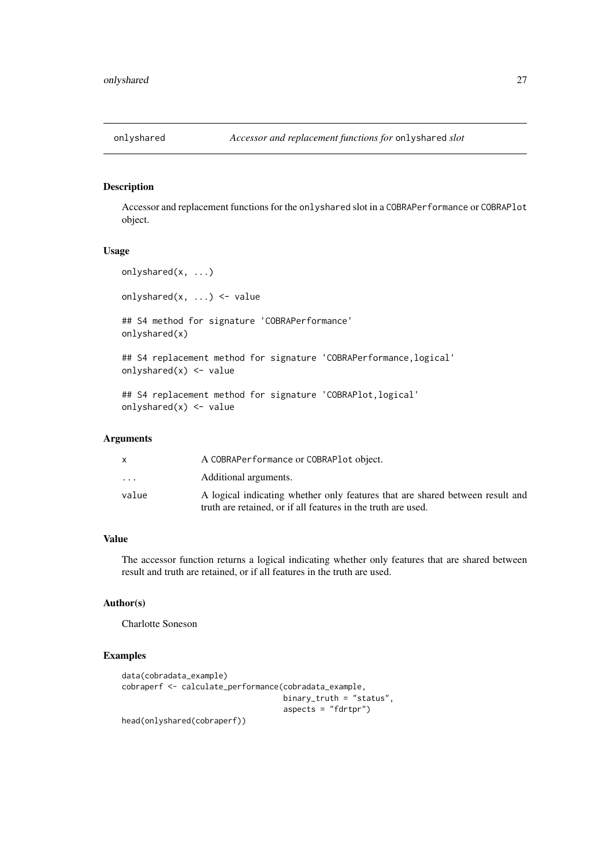<span id="page-26-0"></span>

Accessor and replacement functions for the onlyshared slot in a COBRAPerformance or COBRAPlot object.

#### Usage

```
onlyshared(x, ...)
onlyshared(x, ...) <- value
## S4 method for signature 'COBRAPerformance'
onlyshared(x)
## S4 replacement method for signature 'COBRAPerformance, logical'
onlyshared(x) <- value
## S4 replacement method for signature 'COBRAPlot,logical'
onlyshared(x) <- value
```
## Arguments

| x.                      | A COBRAPerformance or COBRAPlot object.                                                                                                        |
|-------------------------|------------------------------------------------------------------------------------------------------------------------------------------------|
| $\cdot$ $\cdot$ $\cdot$ | Additional arguments.                                                                                                                          |
| value                   | A logical indicating whether only features that are shared between result and<br>truth are retained, or if all features in the truth are used. |

## Value

The accessor function returns a logical indicating whether only features that are shared between result and truth are retained, or if all features in the truth are used.

## Author(s)

Charlotte Soneson

```
data(cobradata_example)
cobraperf <- calculate_performance(cobradata_example,
                                   binary_truth = "status",
                                   aspects = "fdrtpr")
head(onlyshared(cobraperf))
```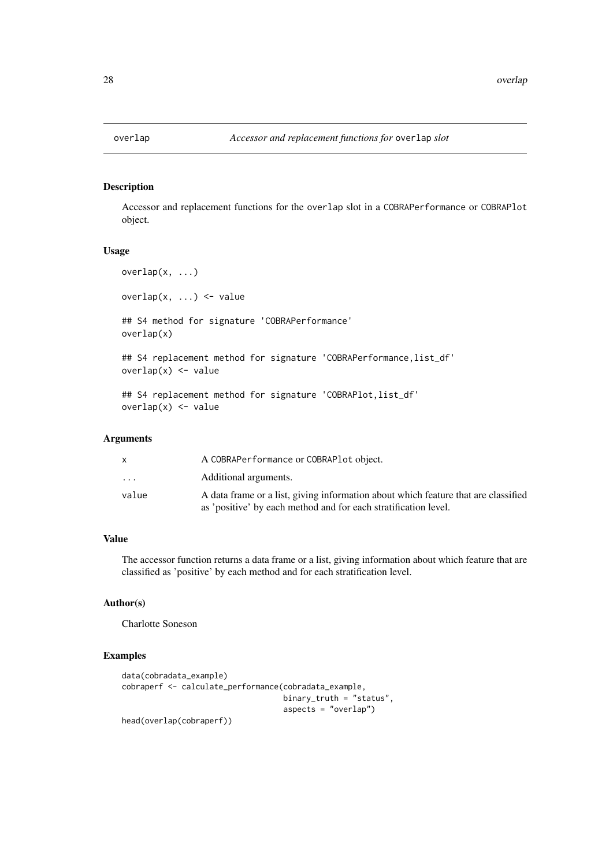<span id="page-27-0"></span>Accessor and replacement functions for the overlap slot in a COBRAPerformance or COBRAPlot object.

#### Usage

```
overlap(x, ...)
overlap(x, \ldots) <- value
## S4 method for signature 'COBRAPerformance'
overlap(x)
## S4 replacement method for signature 'COBRAPerformance, list_df'
overlap(x) <- value
```

```
## S4 replacement method for signature 'COBRAPlot, list_df'
overlap(x) <- value
```
## Arguments

| x                       | A COBRAPerformance or COBRAPlot object.                                            |
|-------------------------|------------------------------------------------------------------------------------|
| $\cdot$ $\cdot$ $\cdot$ | Additional arguments.                                                              |
| value                   | A data frame or a list, giving information about which feature that are classified |
|                         | as 'positive' by each method and for each stratification level.                    |

## Value

The accessor function returns a data frame or a list, giving information about which feature that are classified as 'positive' by each method and for each stratification level.

## Author(s)

Charlotte Soneson

```
data(cobradata_example)
cobraperf <- calculate_performance(cobradata_example,
                                   binary_truth = "status",
                                   aspects = "overlap")
head(overlap(cobraperf))
```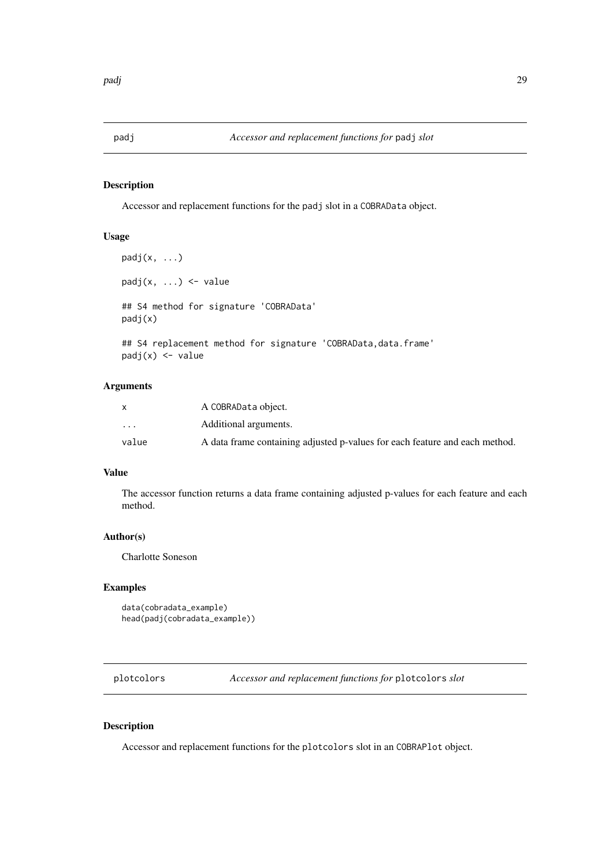<span id="page-28-0"></span>

Accessor and replacement functions for the padj slot in a COBRAData object.

## Usage

```
padj(x, \ldots)padj(x, ...) \leq - value## S4 method for signature 'COBRAData'
padj(x)
## S4 replacement method for signature 'COBRAData, data.frame'
padj(x) <- value
```
#### Arguments

|                         | A COBRAData object.                                                         |
|-------------------------|-----------------------------------------------------------------------------|
| $\cdot$ $\cdot$ $\cdot$ | Additional arguments.                                                       |
| value                   | A data frame containing adjusted p-values for each feature and each method. |

## Value

The accessor function returns a data frame containing adjusted p-values for each feature and each method.

## Author(s)

Charlotte Soneson

#### Examples

```
data(cobradata_example)
head(padj(cobradata_example))
```
plotcolors *Accessor and replacement functions for* plotcolors *slot*

## Description

Accessor and replacement functions for the plotcolors slot in an COBRAPlot object.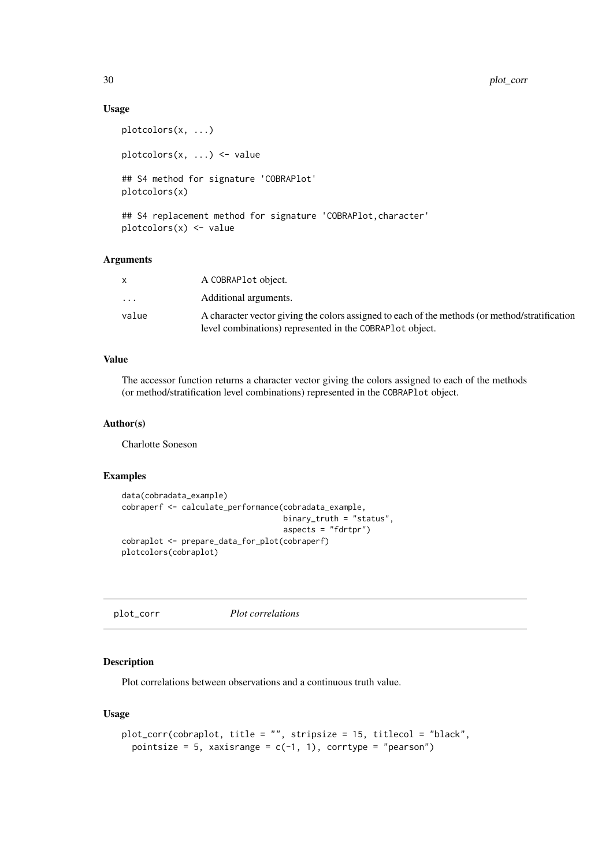<span id="page-29-0"></span>30 plot\_corr

#### Usage

```
plotcolors(x, ...)
plotcolors(x, ...) <- value
## S4 method for signature 'COBRAPlot'
plotcolors(x)
## S4 replacement method for signature 'COBRAPlot, character'
plotcolors(x) <- value
```
#### Arguments

| X     | A COBRAP <sub>l</sub> object.                                                                                                                               |
|-------|-------------------------------------------------------------------------------------------------------------------------------------------------------------|
| .     | Additional arguments.                                                                                                                                       |
| value | A character vector giving the colors assigned to each of the methods (or method/stratification<br>level combinations) represented in the COBRAP1 ot object. |

## Value

The accessor function returns a character vector giving the colors assigned to each of the methods (or method/stratification level combinations) represented in the COBRAPlot object.

## Author(s)

Charlotte Soneson

#### Examples

```
data(cobradata_example)
cobraperf <- calculate_performance(cobradata_example,
                                   binary_truth = "status",
                                   aspects = "fdrtpr")
cobraplot <- prepare_data_for_plot(cobraperf)
plotcolors(cobraplot)
```
plot\_corr *Plot correlations*

### Description

Plot correlations between observations and a continuous truth value.

## Usage

```
plot_corr(cobraplot, title = "", stripsize = 15, titlecol = "black",
 pointsize = 5, xaxisrange = c(-1, 1), corrtype = "pearson")
```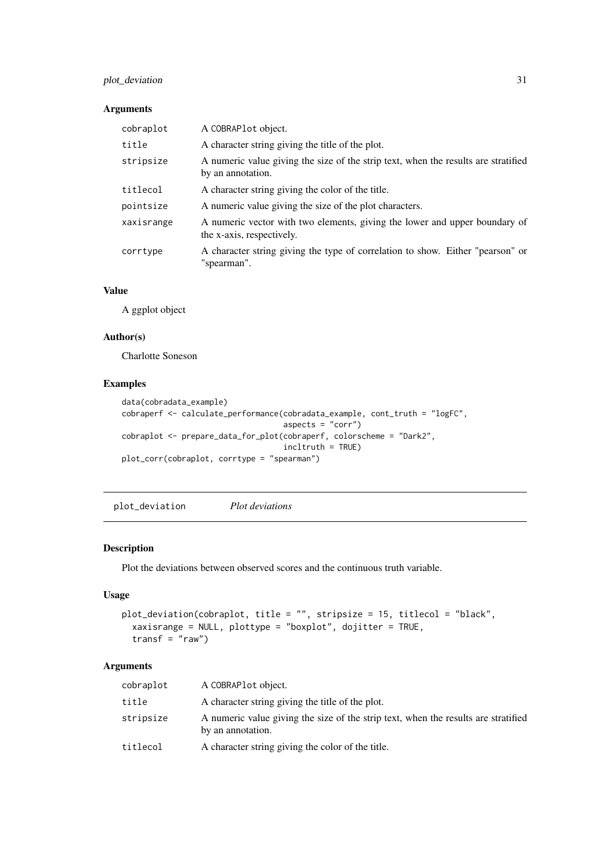### <span id="page-30-0"></span>plot\_deviation 31

### Arguments

| cobraplot  | A COBRAPlot object.                                                                                     |
|------------|---------------------------------------------------------------------------------------------------------|
| title      | A character string giving the title of the plot.                                                        |
| stripsize  | A numeric value giving the size of the strip text, when the results are stratified<br>by an annotation. |
| titlecol   | A character string giving the color of the title.                                                       |
| pointsize  | A numeric value giving the size of the plot characters.                                                 |
| xaxisrange | A numeric vector with two elements, giving the lower and upper boundary of<br>the x-axis, respectively. |
| corrtype   | A character string giving the type of correlation to show. Either "pearson" or<br>"spearman".           |

## Value

A ggplot object

## Author(s)

Charlotte Soneson

## Examples

```
data(cobradata_example)
cobraperf <- calculate_performance(cobradata_example, cont_truth = "logFC",
                                  aspects = "corr")
cobraplot <- prepare_data_for_plot(cobraperf, colorscheme = "Dark2",
                                  incltruth = TRUE)
plot_corr(cobraplot, corrtype = "spearman")
```
plot\_deviation *Plot deviations*

## Description

Plot the deviations between observed scores and the continuous truth variable.

## Usage

```
plot_deviation(cobraplot, title = "", stripsize = 15, titlecol = "black",
 xaxisrange = NULL, plottype = "boxplot", dojitter = TRUE,
 transf = "raw")
```
## Arguments

| cobraplot | A COBRAPL ot object.                                                                                    |
|-----------|---------------------------------------------------------------------------------------------------------|
| title     | A character string giving the title of the plot.                                                        |
| stripsize | A numeric value giving the size of the strip text, when the results are stratified<br>by an annotation. |
| titlecol  | A character string giving the color of the title.                                                       |
|           |                                                                                                         |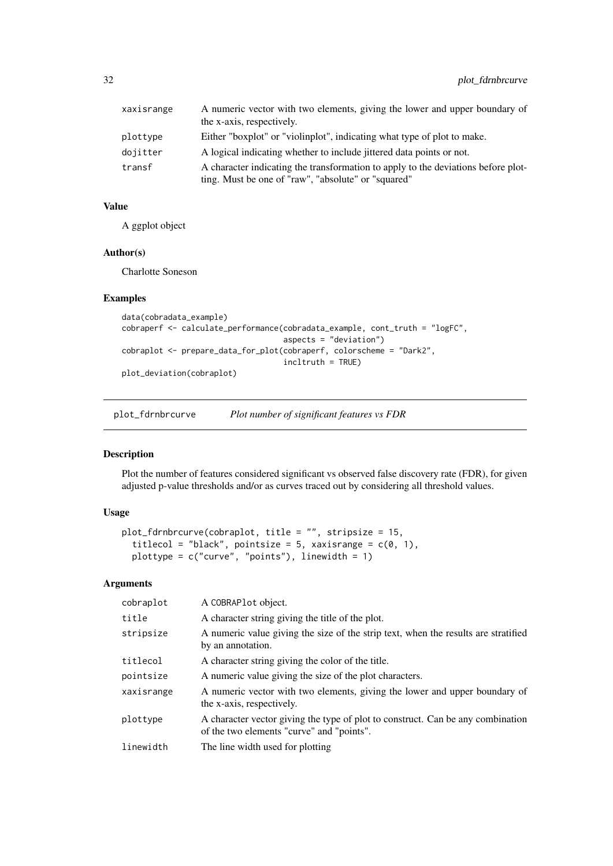<span id="page-31-0"></span>

| xaxisrange | A numeric vector with two elements, giving the lower and upper boundary of<br>the x-axis, respectively.                                  |
|------------|------------------------------------------------------------------------------------------------------------------------------------------|
| plottype   | Either "boxplot" or "violinplot", indicating what type of plot to make.                                                                  |
| dojitter   | A logical indicating whether to include jittered data points or not.                                                                     |
| transf     | A character indicating the transformation to apply to the deviations before plot-<br>ting. Must be one of "raw", "absolute" or "squared" |

## Value

A ggplot object

## Author(s)

Charlotte Soneson

## Examples

```
data(cobradata_example)
cobraperf <- calculate_performance(cobradata_example, cont_truth = "logFC",
                                   aspects = "deviation")
cobraplot <- prepare_data_for_plot(cobraperf, colorscheme = "Dark2",
                                   incltruth = TRUE)
plot_deviation(cobraplot)
```
plot\_fdrnbrcurve *Plot number of significant features vs FDR*

## Description

Plot the number of features considered significant vs observed false discovery rate (FDR), for given adjusted p-value thresholds and/or as curves traced out by considering all threshold values.

## Usage

```
plot_fdrnbrcurve(cobraplot, title = "", stripsize = 15,
 titlecol = "black", pointsize = 5, xaxisrange = c(0, 1),
 plottype = c("curve", "points"), linewidth = 1)
```
## Arguments

| cobraplot  | A COBRAPlot object.                                                                                                          |
|------------|------------------------------------------------------------------------------------------------------------------------------|
| title      | A character string giving the title of the plot.                                                                             |
| stripsize  | A numeric value giving the size of the strip text, when the results are stratified<br>by an annotation.                      |
| titlecol   | A character string giving the color of the title.                                                                            |
| pointsize  | A numeric value giving the size of the plot characters.                                                                      |
| xaxisrange | A numeric vector with two elements, giving the lower and upper boundary of<br>the x-axis, respectively.                      |
| plottype   | A character vector giving the type of plot to construct. Can be any combination<br>of the two elements "curve" and "points". |
| linewidth  | The line width used for plotting                                                                                             |
|            |                                                                                                                              |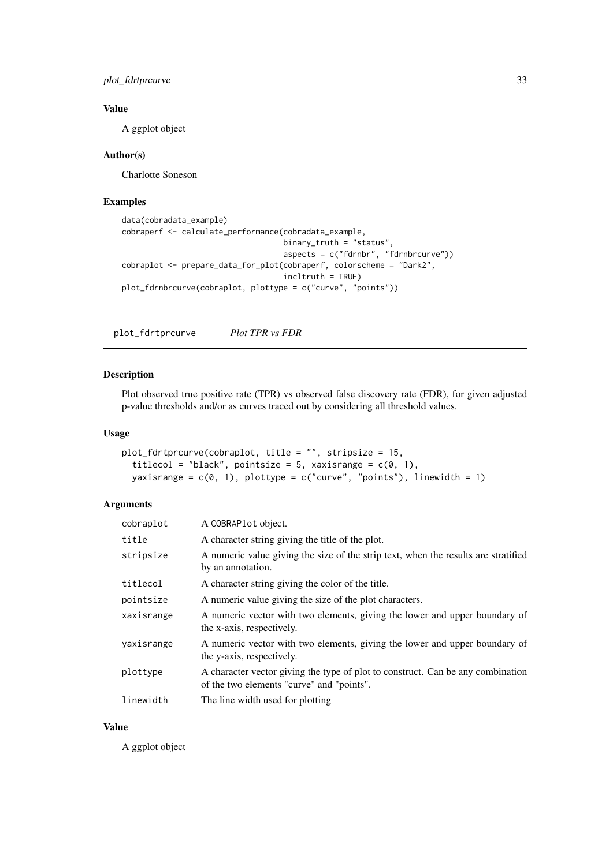<span id="page-32-0"></span>plot\_fdrtprcurve 33

#### Value

A ggplot object

## Author(s)

Charlotte Soneson

#### Examples

```
data(cobradata_example)
cobraperf <- calculate_performance(cobradata_example,
                                   binary_truth = "status",
                                   aspects = c("fdrnbr", "fdrnbrcurve"))
cobraplot <- prepare_data_for_plot(cobraperf, colorscheme = "Dark2",
                                   incltruth = TRUE)
plot_fdrnbrcurve(cobraplot, plottype = c("curve", "points"))
```
plot\_fdrtprcurve *Plot TPR vs FDR*

#### Description

Plot observed true positive rate (TPR) vs observed false discovery rate (FDR), for given adjusted p-value thresholds and/or as curves traced out by considering all threshold values.

## Usage

```
plot_fdrtprcurve(cobraplot, title = "", stripsize = 15,
 titlecol = "black", pointsize = 5, xaxisrange = c(0, 1),
 yaxisrange = c(0, 1), plottype = c("curve", "points"), linewidth = 1)
```
## Arguments

| cobraplot  | A COBRAPlot object.                                                                                                          |
|------------|------------------------------------------------------------------------------------------------------------------------------|
| title      | A character string giving the title of the plot.                                                                             |
| stripsize  | A numeric value giving the size of the strip text, when the results are stratified<br>by an annotation.                      |
| titlecol   | A character string giving the color of the title.                                                                            |
| pointsize  | A numeric value giving the size of the plot characters.                                                                      |
| xaxisrange | A numeric vector with two elements, giving the lower and upper boundary of<br>the x-axis, respectively.                      |
| yaxisrange | A numeric vector with two elements, giving the lower and upper boundary of<br>the y-axis, respectively.                      |
| plottype   | A character vector giving the type of plot to construct. Can be any combination<br>of the two elements "curve" and "points". |
| linewidth  | The line width used for plotting                                                                                             |

## Value

A ggplot object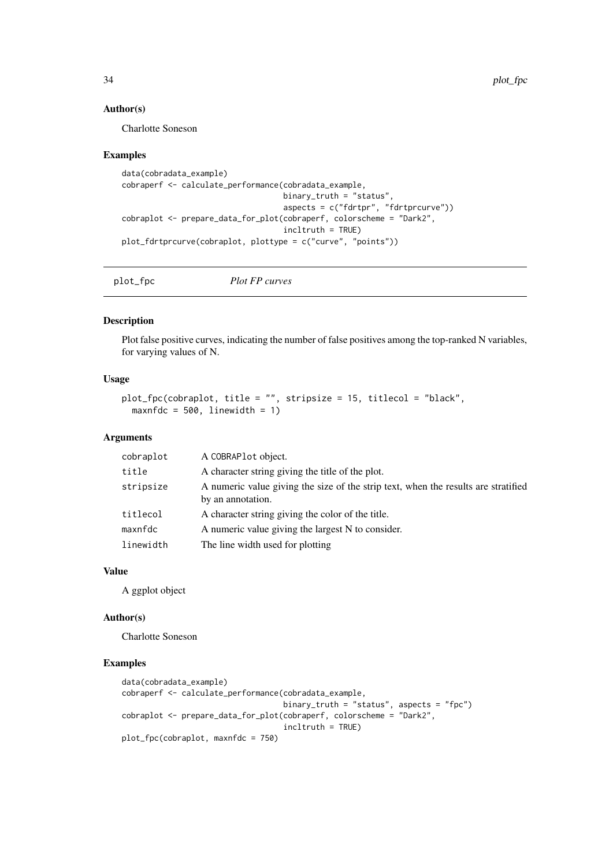#### Author(s)

Charlotte Soneson

#### Examples

```
data(cobradata_example)
cobraperf <- calculate_performance(cobradata_example,
                                   binary_truth = "status",
                                   aspects = c("fdrtpr", "fdrtprcurve"))
cobraplot <- prepare_data_for_plot(cobraperf, colorscheme = "Dark2",
                                   incltruth = TRUE)
plot_fdrtprcurve(cobraplot, plottype = c("curve", "points"))
```
plot\_fpc *Plot FP curves*

#### Description

Plot false positive curves, indicating the number of false positives among the top-ranked N variables, for varying values of N.

## Usage

```
plot_fpc(cobraplot, title = "", stripsize = 15, titlecol = "black",
 maxnfdc = 500, linewidth = 1)
```
## Arguments

| cobraplot | A COBRAPlot object.                                                                                     |
|-----------|---------------------------------------------------------------------------------------------------------|
| title     | A character string giving the title of the plot.                                                        |
| stripsize | A numeric value giving the size of the strip text, when the results are stratified<br>by an annotation. |
| titlecol  | A character string giving the color of the title.                                                       |
| maxnfdc   | A numeric value giving the largest N to consider.                                                       |
| linewidth | The line width used for plotting                                                                        |
|           |                                                                                                         |

#### Value

A ggplot object

#### Author(s)

Charlotte Soneson

```
data(cobradata_example)
cobraperf <- calculate_performance(cobradata_example,
                                  binary_truth = "status", aspects = "fpc")
cobraplot <- prepare_data_for_plot(cobraperf, colorscheme = "Dark2",
                                   incltruth = TRUE)
plot_fpc(cobraplot, maxnfdc = 750)
```
<span id="page-33-0"></span>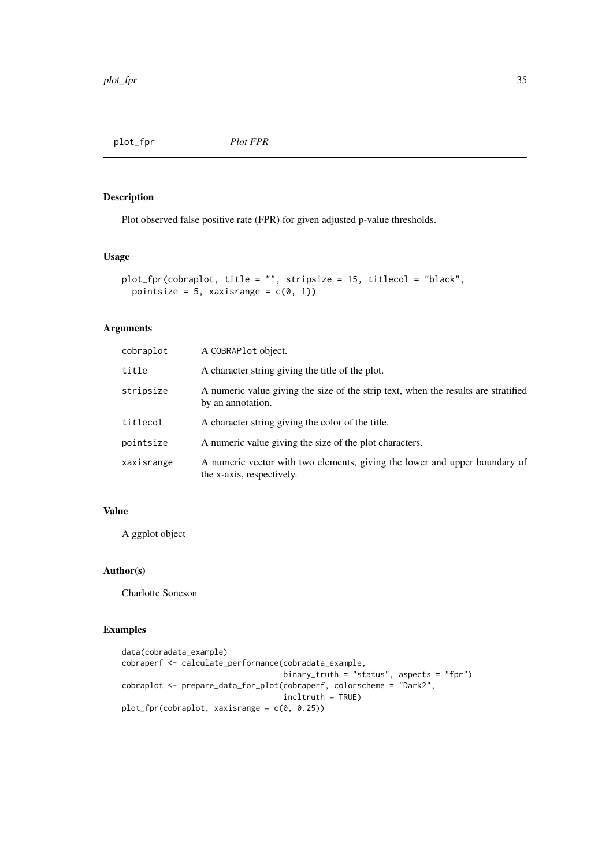<span id="page-34-0"></span>plot\_fpr *Plot FPR*

## Description

Plot observed false positive rate (FPR) for given adjusted p-value thresholds.

## Usage

```
plot_fpr(cobraplot, title = "", stripsize = 15, titlecol = "black",
  pointsize = 5, xaxisrange = c(\emptyset, 1))
```
## Arguments

| cobraplot  | A COBRAPlot object.                                                                                     |
|------------|---------------------------------------------------------------------------------------------------------|
| title      | A character string giving the title of the plot.                                                        |
| stripsize  | A numeric value giving the size of the strip text, when the results are stratified<br>by an annotation. |
| titlecol   | A character string giving the color of the title.                                                       |
| pointsize  | A numeric value giving the size of the plot characters.                                                 |
| xaxisrange | A numeric vector with two elements, giving the lower and upper boundary of<br>the x-axis, respectively. |

#### Value

A ggplot object

## Author(s)

Charlotte Soneson

```
data(cobradata_example)
cobraperf <- calculate_performance(cobradata_example,
                                   binary_truth = "status", aspects = "fpr")
cobraplot <- prepare_data_for_plot(cobraperf, colorscheme = "Dark2",
                                   incltruth = TRUE)
plot_fpr(cobraplot, xaxisrange = c(0, 0.25))
```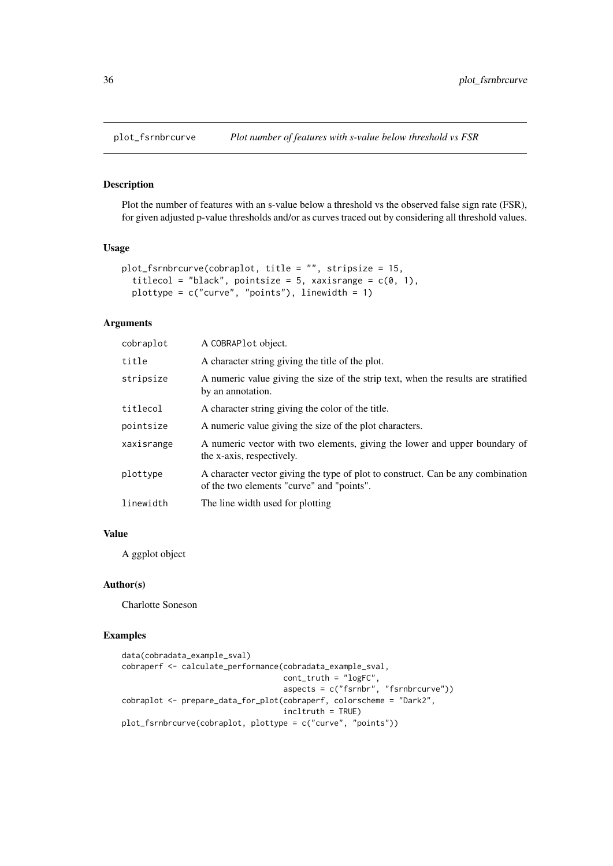<span id="page-35-0"></span>

Plot the number of features with an s-value below a threshold vs the observed false sign rate (FSR), for given adjusted p-value thresholds and/or as curves traced out by considering all threshold values.

#### Usage

```
plot_fsrnbrcurve(cobraplot, title = "", stripsize = 15,
 titlecol = "black", pointsize = 5, xaxisrange = c(0, 1),
 plottype = c("curve", "points"), linewidth = 1)
```
## Arguments

| cobraplot  | A COBRAPlot object.                                                                                                          |
|------------|------------------------------------------------------------------------------------------------------------------------------|
| title      | A character string giving the title of the plot.                                                                             |
| stripsize  | A numeric value giving the size of the strip text, when the results are stratified<br>by an annotation.                      |
| titlecol   | A character string giving the color of the title.                                                                            |
| pointsize  | A numeric value giving the size of the plot characters.                                                                      |
| xaxisrange | A numeric vector with two elements, giving the lower and upper boundary of<br>the x-axis, respectively.                      |
| plottype   | A character vector giving the type of plot to construct. Can be any combination<br>of the two elements "curve" and "points". |
| linewidth  | The line width used for plotting                                                                                             |
|            |                                                                                                                              |

#### Value

A ggplot object

#### Author(s)

Charlotte Soneson

```
data(cobradata_example_sval)
cobraperf <- calculate_performance(cobradata_example_sval,
                                   cont_truth = "logFC",
                                   aspects = c("fsrnbr", "fsrnbrcurve"))
cobraplot <- prepare_data_for_plot(cobraperf, colorscheme = "Dark2",
                                   incltruth = TRUE)
plot_fsrnbrcurve(cobraplot, plottype = c("curve", "points"))
```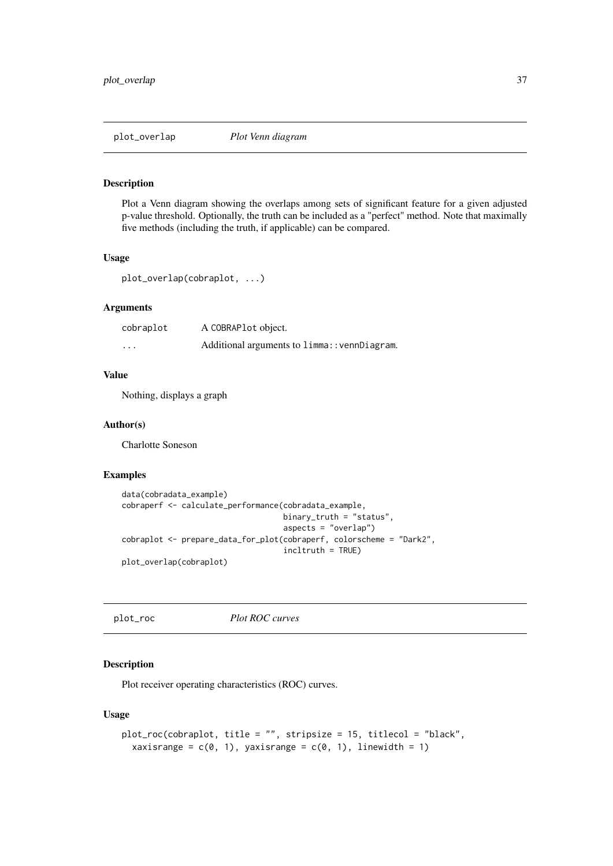<span id="page-36-0"></span>plot\_overlap *Plot Venn diagram*

#### Description

Plot a Venn diagram showing the overlaps among sets of significant feature for a given adjusted p-value threshold. Optionally, the truth can be included as a "perfect" method. Note that maximally five methods (including the truth, if applicable) can be compared.

## Usage

```
plot_overlap(cobraplot, ...)
```
#### Arguments

| cobraplot | A COBRAPlot object.                          |
|-----------|----------------------------------------------|
| $\cdots$  | Additional arguments to limma:: vennDiagram. |

#### Value

Nothing, displays a graph

#### Author(s)

Charlotte Soneson

#### Examples

```
data(cobradata_example)
cobraperf <- calculate_performance(cobradata_example,
                                   binary_truth = "status",
                                   aspects = "overlap")
cobraplot <- prepare_data_for_plot(cobraperf, colorscheme = "Dark2",
                                   incltruth = TRUE)
plot_overlap(cobraplot)
```
plot\_roc *Plot ROC curves*

#### Description

Plot receiver operating characteristics (ROC) curves.

## Usage

```
plot_roc(cobraplot, title = "", stripsize = 15, titlecol = "black",
 xaxisrange = c(0, 1), yaxisrange = c(0, 1), linewidth = 1)
```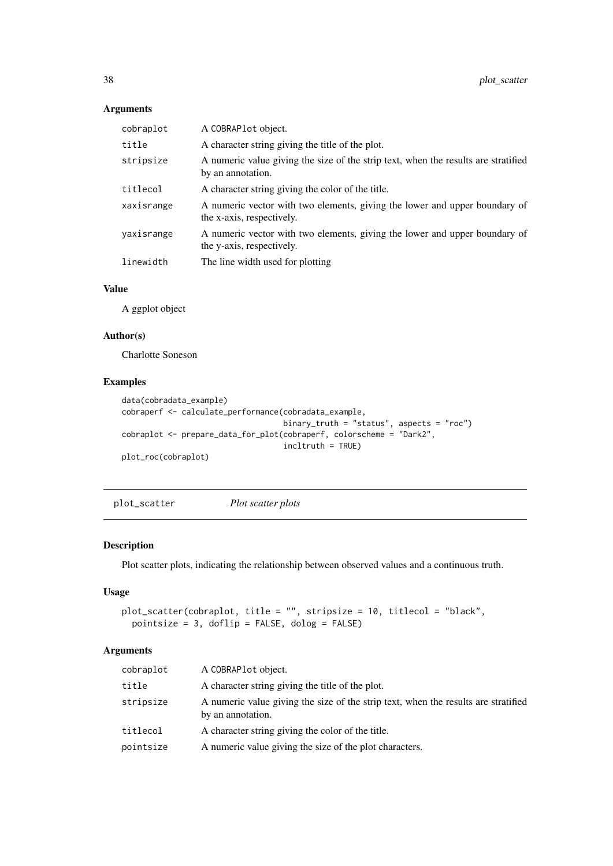## Arguments

| cobraplot  | A COBRAPlot object.                                                                                     |
|------------|---------------------------------------------------------------------------------------------------------|
| title      | A character string giving the title of the plot.                                                        |
| stripsize  | A numeric value giving the size of the strip text, when the results are stratified<br>by an annotation. |
| titlecol   | A character string giving the color of the title.                                                       |
| xaxisrange | A numeric vector with two elements, giving the lower and upper boundary of<br>the x-axis, respectively. |
| yaxisrange | A numeric vector with two elements, giving the lower and upper boundary of<br>the y-axis, respectively. |
| linewidth  | The line width used for plotting                                                                        |
|            |                                                                                                         |

#### Value

A ggplot object

#### Author(s)

Charlotte Soneson

## Examples

```
data(cobradata_example)
cobraperf <- calculate_performance(cobradata_example,
                                   binary_truth = "status", aspects = "roc")
cobraplot <- prepare_data_for_plot(cobraperf, colorscheme = "Dark2",
                                   incltruth = TRUE)
plot_roc(cobraplot)
```
plot\_scatter *Plot scatter plots*

## Description

Plot scatter plots, indicating the relationship between observed values and a continuous truth.

## Usage

```
plot_scatter(cobraplot, title = "", stripsize = 10, titlecol = "black",
  pointsize = 3, doflip = FALSE, dolog = FALSE)
```
## Arguments

| cobraplot | A COBRAPL ot object.                                                                                    |
|-----------|---------------------------------------------------------------------------------------------------------|
| title     | A character string giving the title of the plot.                                                        |
| stripsize | A numeric value giving the size of the strip text, when the results are stratified<br>by an annotation. |
| titlecol  | A character string giving the color of the title.                                                       |
| pointsize | A numeric value giving the size of the plot characters.                                                 |
|           |                                                                                                         |

<span id="page-37-0"></span>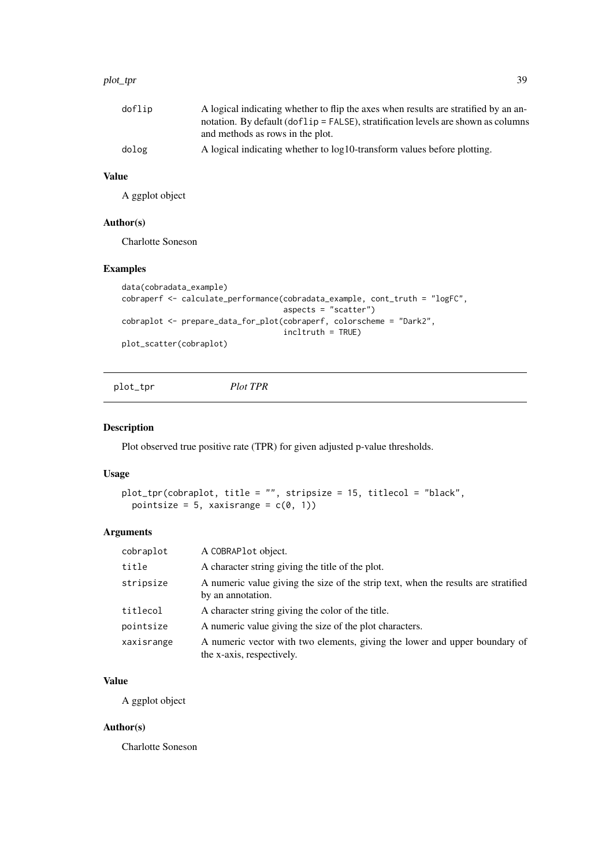#### <span id="page-38-0"></span>plot\_tpr 39

| doflip | A logical indicating whether to flip the axes when results are stratified by an an-  |
|--------|--------------------------------------------------------------------------------------|
|        | notation. By default (dof l i p = FALSE), stratification levels are shown as columns |
|        | and methods as rows in the plot.                                                     |
| dolog  | A logical indicating whether to $log 10$ -transform values before plotting.          |

#### Value

A ggplot object

## Author(s)

Charlotte Soneson

## Examples

```
data(cobradata_example)
cobraperf <- calculate_performance(cobradata_example, cont_truth = "logFC",
                                 aspects = "scatter")
cobraplot <- prepare_data_for_plot(cobraperf, colorscheme = "Dark2",
                                  incltruth = TRUE)
plot_scatter(cobraplot)
```
plot\_tpr *Plot TPR*

## Description

Plot observed true positive rate (TPR) for given adjusted p-value thresholds.

#### Usage

```
plot_tpr(cobraplot, title = "", stripsize = 15, titlecol = "black",
 pointsize = 5, xaxisrange = c(0, 1))
```
## Arguments

| cobraplot  | A COBRAPlot object.                                                                                     |
|------------|---------------------------------------------------------------------------------------------------------|
| title      | A character string giving the title of the plot.                                                        |
| stripsize  | A numeric value giving the size of the strip text, when the results are stratified<br>by an annotation. |
| titlecol   | A character string giving the color of the title.                                                       |
| pointsize  | A numeric value giving the size of the plot characters.                                                 |
| xaxisrange | A numeric vector with two elements, giving the lower and upper boundary of<br>the x-axis, respectively. |

#### Value

A ggplot object

## Author(s)

Charlotte Soneson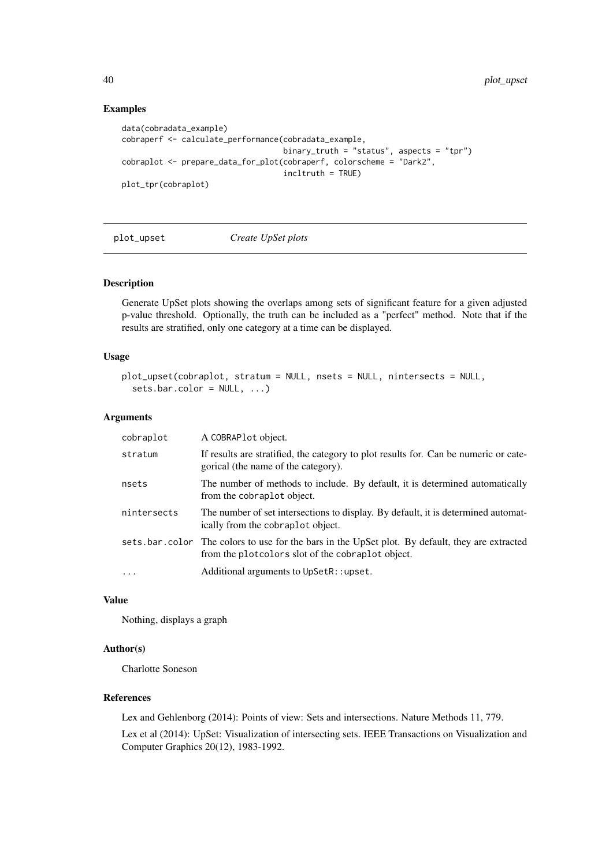## Examples

```
data(cobradata_example)
cobraperf <- calculate_performance(cobradata_example,
                                  binary_truth = "status", aspects = "tpr")
cobraplot <- prepare_data_for_plot(cobraperf, colorscheme = "Dark2",
                                   incltruth = TRUE)
plot_tpr(cobraplot)
```
#### plot\_upset *Create UpSet plots*

#### Description

Generate UpSet plots showing the overlaps among sets of significant feature for a given adjusted p-value threshold. Optionally, the truth can be included as a "perfect" method. Note that if the results are stratified, only one category at a time can be displayed.

## Usage

```
plot_upset(cobraplot, stratum = NULL, nsets = NULL, nintersects = NULL,
  sets.bar.color = NULL, ...)
```
#### Arguments

| cobraplot   | A COBRAPlot object.                                                                                                                                   |
|-------------|-------------------------------------------------------------------------------------------------------------------------------------------------------|
| stratum     | If results are stratified, the category to plot results for. Can be numeric or cate-<br>gorical (the name of the category).                           |
| nsets       | The number of methods to include. By default, it is determined automatically<br>from the cobraplot object.                                            |
| nintersects | The number of set intersections to display. By default, it is determined automat-<br>ically from the cobraplot object.                                |
|             | sets bar color. The colors to use for the bars in the UpSet plot. By default, they are extracted<br>from the plotcolors slot of the cobraplot object. |
| .           | Additional arguments to UpSetR::upset.                                                                                                                |

## Value

Nothing, displays a graph

#### Author(s)

Charlotte Soneson

## References

Lex and Gehlenborg (2014): Points of view: Sets and intersections. Nature Methods 11, 779.

Lex et al (2014): UpSet: Visualization of intersecting sets. IEEE Transactions on Visualization and Computer Graphics 20(12), 1983-1992.

<span id="page-39-0"></span>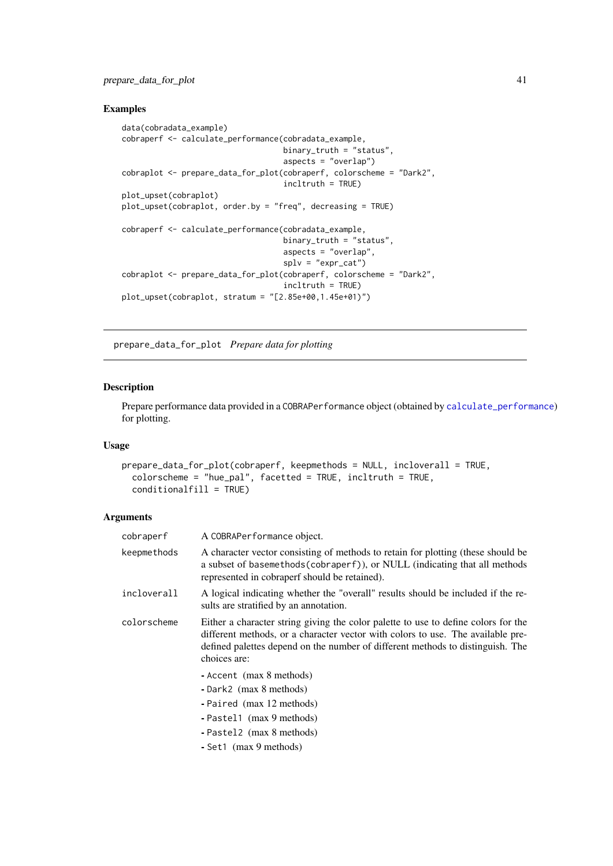#### <span id="page-40-0"></span>prepare\_data\_for\_plot 41

## Examples

```
data(cobradata_example)
cobraperf <- calculate_performance(cobradata_example,
                                  binary_truth = "status",
                                  aspects = "overlap")
cobraplot <- prepare_data_for_plot(cobraperf, colorscheme = "Dark2",
                                  incltruth = TRUE)
plot_upset(cobraplot)
plot_upset(cobraplot, order.by = "freq", decreasing = TRUE)
cobraperf <- calculate_performance(cobradata_example,
                                  binary_truth = "status",
                                  aspects = "overlap",splv = "expr_cat")cobraplot <- prepare_data_for_plot(cobraperf, colorscheme = "Dark2",
                                  incltruth = TRUE)
plot_upset(cobraplot, stratum = "[2.85e+00,1.45e+01)")
```
<span id="page-40-1"></span>prepare\_data\_for\_plot *Prepare data for plotting*

## Description

Prepare performance data provided in a COBRAPerformance object (obtained by [calculate\\_performance](#page-3-1)) for plotting.

## Usage

```
prepare_data_for_plot(cobraperf, keepmethods = NULL, incloverall = TRUE,
 colorscheme = "hue_pal", facetted = TRUE, incltruth = TRUE,
 conditionalfill = TRUE)
```
#### Arguments

| cobraperf   | A COBRAPerformance object.                                                                                                                                                                                                                                              |
|-------------|-------------------------------------------------------------------------------------------------------------------------------------------------------------------------------------------------------------------------------------------------------------------------|
| keepmethods | A character vector consisting of methods to retain for plotting (these should be<br>a subset of basemethods (cobraperf)), or NULL (indicating that all methods<br>represented in cobraperf should be retained).                                                         |
| incloverall | A logical indicating whether the "overall" results should be included if the re-<br>sults are stratified by an annotation.                                                                                                                                              |
| colorscheme | Either a character string giving the color palette to use to define colors for the<br>different methods, or a character vector with colors to use. The available pre-<br>defined palettes depend on the number of different methods to distinguish. The<br>choices are: |
|             | - Accent (max 8 methods)<br>- Dark2 (max 8 methods)<br>- Paired (max 12 methods)<br>- Pastel1 (max 9 methods)<br>- Pastel2 (max 8 methods)<br>- Set1 (max 9 methods)                                                                                                    |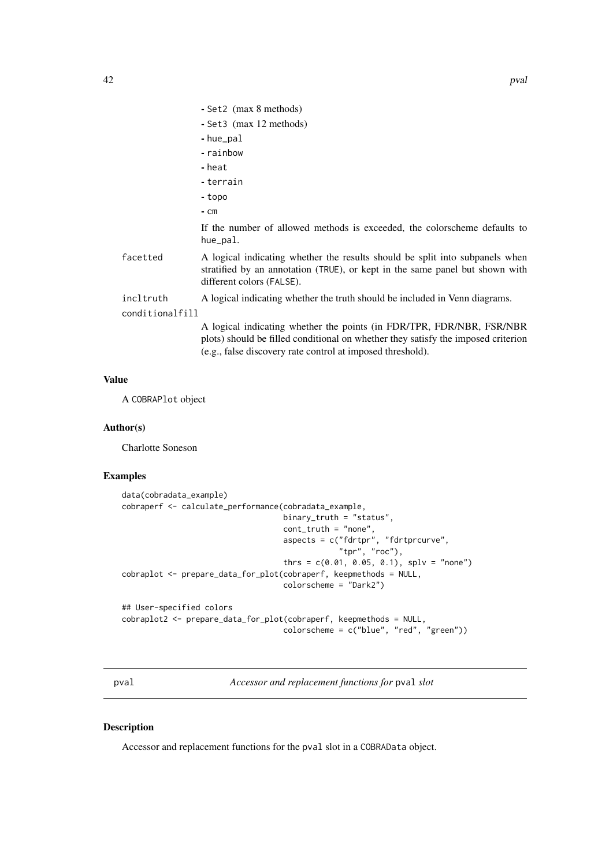<span id="page-41-0"></span>

|  |  |  |  | - Set2 (max 8 methods) |
|--|--|--|--|------------------------|
|--|--|--|--|------------------------|

- Set3 (max 12 methods)
- hue\_pal
- rainbow
- heat
- terrain
- topo
- cm

If the number of allowed methods is exceeded, the colorscheme defaults to hue\_pal.

- facetted A logical indicating whether the results should be split into subpanels when stratified by an annotation (TRUE), or kept in the same panel but shown with different colors (FALSE).
- incltruth A logical indicating whether the truth should be included in Venn diagrams.

conditionalfill

A logical indicating whether the points (in FDR/TPR, FDR/NBR, FSR/NBR plots) should be filled conditional on whether they satisfy the imposed criterion (e.g., false discovery rate control at imposed threshold).

## Value

A COBRAPlot object

#### Author(s)

Charlotte Soneson

#### Examples

```
data(cobradata_example)
cobraperf <- calculate_performance(cobradata_example,
                                   binary_truth = "status",
                                   cont_truth = "none",
                                   aspects = c("fdrtpr", "fdrtprcurve","tpr", "roc"),
                                   thrs = c(0.01, 0.05, 0.1), splv = "none")
cobraplot <- prepare_data_for_plot(cobraperf, keepmethods = NULL,
                                   colorscheme = "Dark2")
## User-specified colors
cobraplot2 <- prepare_data_for_plot(cobraperf, keepmethods = NULL,
                                   colorscheme = c("blue", "red", "green"))
```
pval *Accessor and replacement functions for* pval *slot*

#### Description

Accessor and replacement functions for the pval slot in a COBRAData object.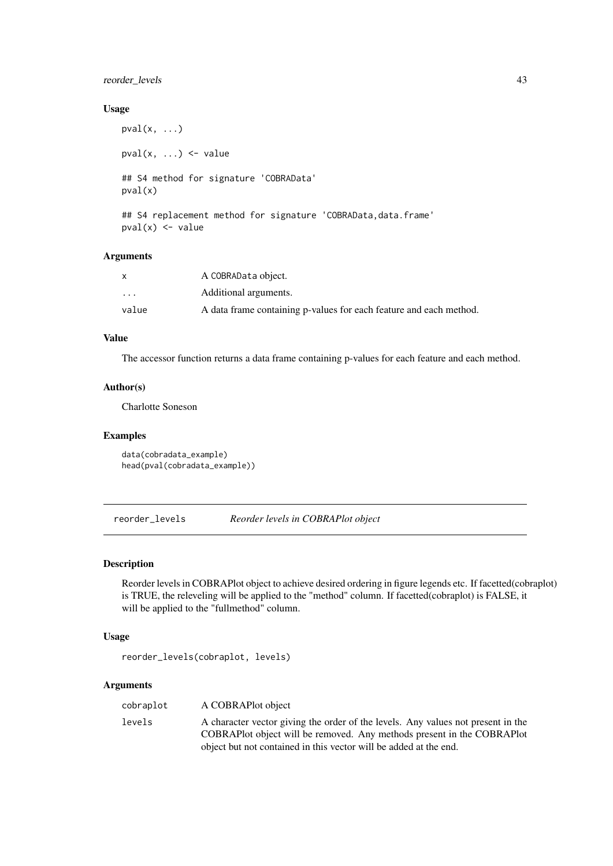#### <span id="page-42-0"></span>reorder\_levels 43

#### Usage

```
pval(x, \ldots)pval(x, \ldots) \leq value## S4 method for signature 'COBRAData'
pval(x)
## S4 replacement method for signature 'COBRAData, data.frame'
```

```
pval(x) <- value
```
#### Arguments

| X        | A COBRAData object.                                                |
|----------|--------------------------------------------------------------------|
| $\cdots$ | Additional arguments.                                              |
| value    | A data frame containing p-values for each feature and each method. |

## Value

The accessor function returns a data frame containing p-values for each feature and each method.

## Author(s)

Charlotte Soneson

#### Examples

```
data(cobradata_example)
head(pval(cobradata_example))
```
reorder\_levels *Reorder levels in COBRAPlot object*

## Description

Reorder levels in COBRAPlot object to achieve desired ordering in figure legends etc. If facetted(cobraplot) is TRUE, the releveling will be applied to the "method" column. If facetted(cobraplot) is FALSE, it will be applied to the "fullmethod" column.

## Usage

```
reorder_levels(cobraplot, levels)
```
## Arguments

| cobraplot | A COBRAPlot object                                                                                                                                                                                                              |
|-----------|---------------------------------------------------------------------------------------------------------------------------------------------------------------------------------------------------------------------------------|
| levels    | A character vector giving the order of the levels. Any values not present in the<br>COBRAPLOT Object will be removed. Any methods present in the COBRAPLOT<br>object but not contained in this vector will be added at the end. |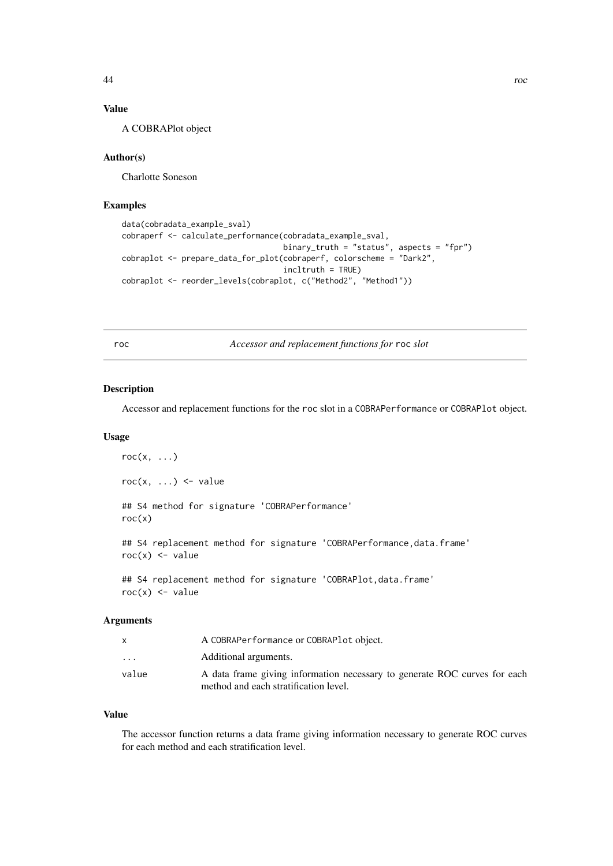<span id="page-43-0"></span>

## Value

A COBRAPlot object

## Author(s)

Charlotte Soneson

## Examples

```
data(cobradata_example_sval)
cobraperf <- calculate_performance(cobradata_example_sval,
                                   binary_truth = "status", aspects = "fpr")
cobraplot <- prepare_data_for_plot(cobraperf, colorscheme = "Dark2",
                                   incltruth = TRUE)
cobraplot <- reorder_levels(cobraplot, c("Method2", "Method1"))
```
roc *Accessor and replacement functions for* roc *slot*

#### Description

Accessor and replacement functions for the roc slot in a COBRAPerformance or COBRAPlot object.

## Usage

```
roc(x, \ldots)roc(x, ...) \leftarrow value## S4 method for signature 'COBRAPerformance'
roc(x)## S4 replacement method for signature 'COBRAPerformance, data.frame'
roc(x) < - value## S4 replacement method for signature 'COBRAPlot, data.frame'
roc(x) < - value
```
#### Arguments

|          | A COBRAPerformance or COBRAPlot object.                                   |
|----------|---------------------------------------------------------------------------|
| $\cdots$ | Additional arguments.                                                     |
| value    | A data frame giving information necessary to generate ROC curves for each |
|          | method and each stratification level.                                     |

## Value

The accessor function returns a data frame giving information necessary to generate ROC curves for each method and each stratification level.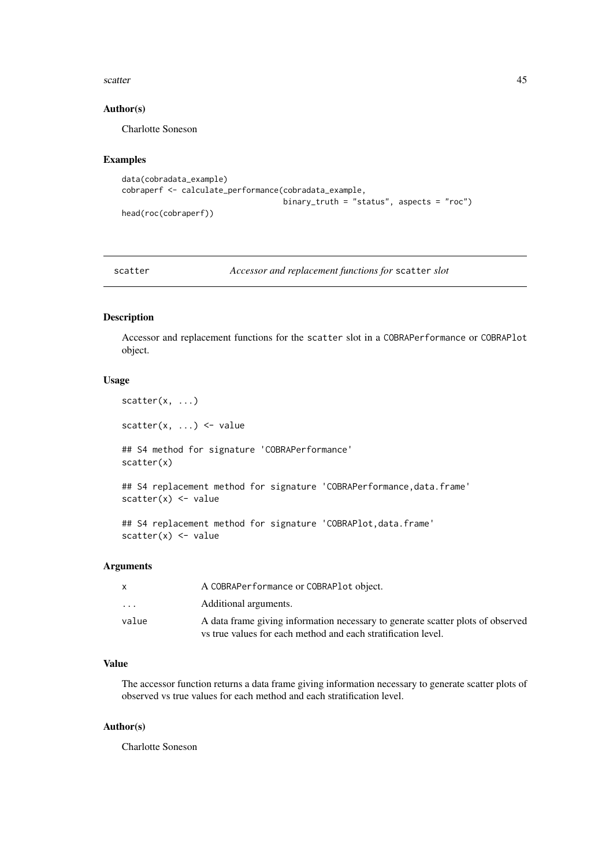#### <span id="page-44-0"></span>scatter **45**

#### Author(s)

Charlotte Soneson

### Examples

```
data(cobradata_example)
cobraperf <- calculate_performance(cobradata_example,
                                   binary_truth = "status", aspects = "roc")
head(roc(cobraperf))
```
scatter *Accessor and replacement functions for* scatter *slot*

#### Description

Accessor and replacement functions for the scatter slot in a COBRAPerformance or COBRAPlot object.

## Usage

```
scatter(x, \ldots)scatter(x, \ldots) <- value
## S4 method for signature 'COBRAPerformance'
scatter(x)
## S4 replacement method for signature 'COBRAPerformance, data.frame'
scatter(x) <- value
```

```
## S4 replacement method for signature 'COBRAPlot, data.frame'
scatter(x) <- value
```
#### Arguments

| x       | A COBRAPerformance or COBRAPlot object.                                         |
|---------|---------------------------------------------------------------------------------|
| $\cdot$ | Additional arguments.                                                           |
| value   | A data frame giving information necessary to generate scatter plots of observed |
|         | vs true values for each method and each stratification level.                   |

#### Value

The accessor function returns a data frame giving information necessary to generate scatter plots of observed vs true values for each method and each stratification level.

## Author(s)

Charlotte Soneson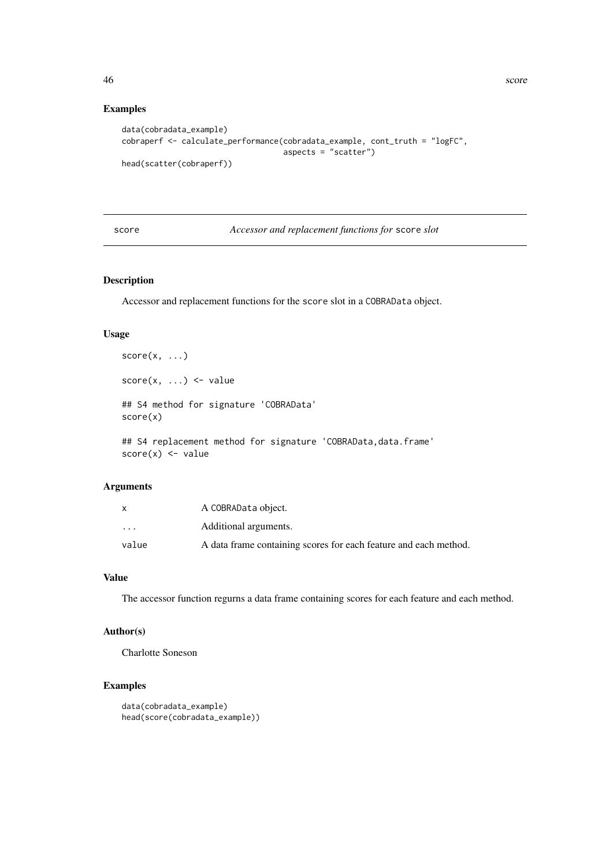## Examples

```
data(cobradata_example)
cobraperf <- calculate_performance(cobradata_example, cont_truth = "logFC",
                                   aspects = "scatter")
head(scatter(cobraperf))
```
## score *Accessor and replacement functions for* score *slot*

## Description

Accessor and replacement functions for the score slot in a COBRAData object.

#### Usage

```
score(x, \ldots)score(x, ...) \le - value## S4 method for signature 'COBRAData'
score(x)
## S4 replacement method for signature 'COBRAData, data.frame'
```
 $score(x) \leq value$ 

## Arguments

| x                       | A COBRAData object.                                              |
|-------------------------|------------------------------------------------------------------|
| $\cdot$ $\cdot$ $\cdot$ | Additional arguments.                                            |
| value                   | A data frame containing scores for each feature and each method. |

#### Value

The accessor function regurns a data frame containing scores for each feature and each method.

## Author(s)

Charlotte Soneson

```
data(cobradata_example)
head(score(cobradata_example))
```
<span id="page-45-0"></span>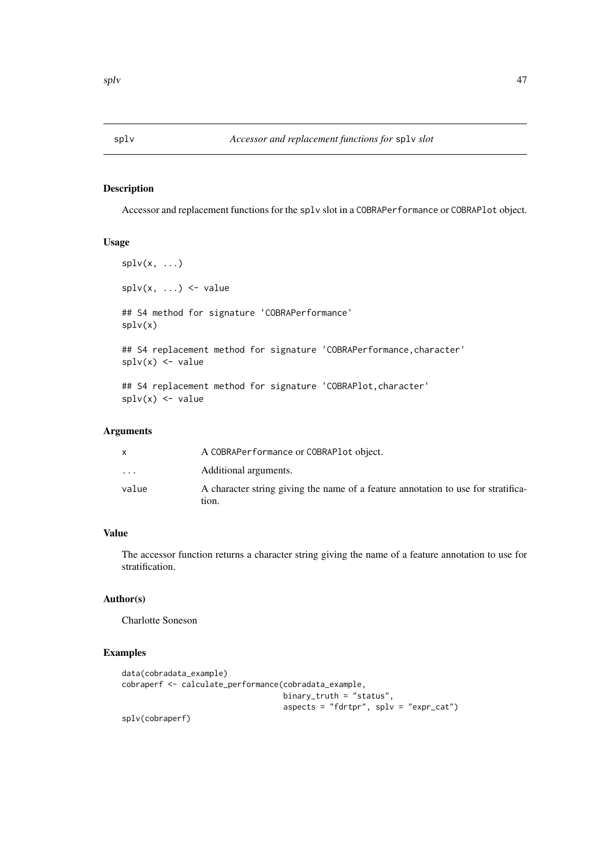<span id="page-46-0"></span>

Accessor and replacement functions for the splv slot in a COBRAPerformance or COBRAPlot object.

## Usage

```
splv(x, \ldots)\text{splv}(x, \ldots) \leq value
## S4 method for signature 'COBRAPerformance'
splv(x)
## S4 replacement method for signature 'COBRAPerformance, character'
splv(x) <- value
## S4 replacement method for signature 'COBRAPlot, character'
\text{splv}(x) \leftarrow \text{value}
```
## Arguments

|                         | A COBRAPerformance or COBRAPlot object.                                                    |
|-------------------------|--------------------------------------------------------------------------------------------|
| $\cdot$ $\cdot$ $\cdot$ | Additional arguments.                                                                      |
| value                   | A character string giving the name of a feature annotation to use for stratifica-<br>tion. |

## Value

The accessor function returns a character string giving the name of a feature annotation to use for stratification.

## Author(s)

Charlotte Soneson

```
data(cobradata_example)
cobraperf <- calculate_performance(cobradata_example,
                                  binary_truth = "status",
                                   aspects = "fdrtpr", splv = "expr\_cat")splv(cobraperf)
```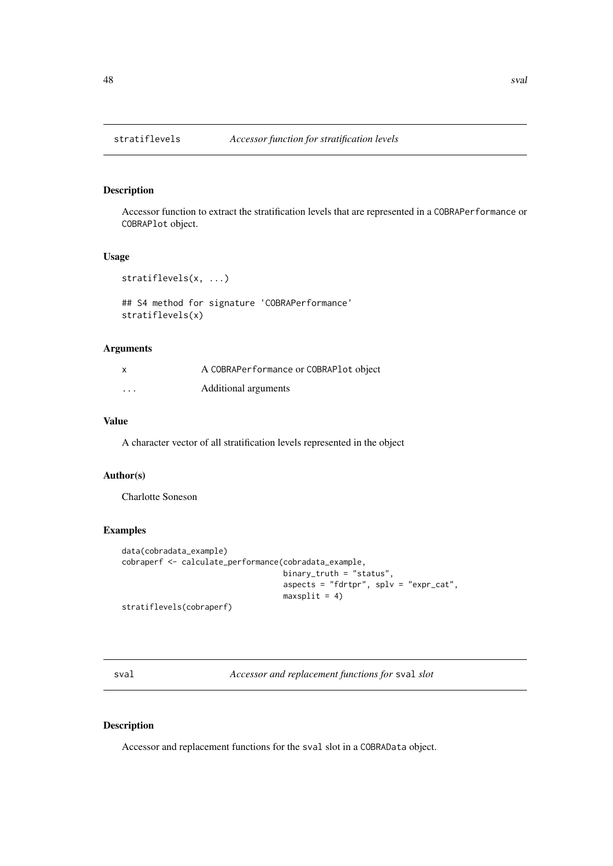<span id="page-47-0"></span>

Accessor function to extract the stratification levels that are represented in a COBRAPerformance or COBRAPlot object.

## Usage

```
stratiflevels(x, ...)
```

```
## S4 method for signature 'COBRAPerformance'
stratiflevels(x)
```
## Arguments

| $\boldsymbol{\mathsf{x}}$ | A COBRAPerformance or COBRAPlot object |
|---------------------------|----------------------------------------|
| $\cdots$                  | Additional arguments                   |

## Value

A character vector of all stratification levels represented in the object

#### Author(s)

Charlotte Soneson

## Examples

```
data(cobradata_example)
cobraperf <- calculate_performance(cobradata_example,
                                   binary_truth = "status",
                                   aspects = "fdrtpr", splv = "expr\_cat",maxsplit = 4)stratiflevels(cobraperf)
```
sval *Accessor and replacement functions for* sval *slot*

## Description

Accessor and replacement functions for the sval slot in a COBRAData object.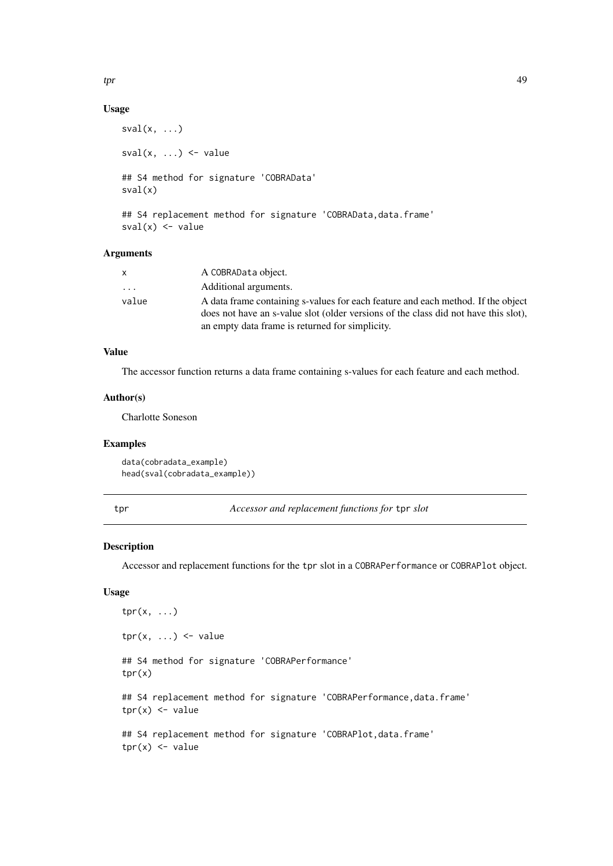## <span id="page-48-0"></span>Usage

```
sval(x, \ldots)sval(x, \ldots) \leq value## S4 method for signature 'COBRAData'
sval(x)
## S4 replacement method for signature 'COBRAData, data.frame'
```

```
sval(x) <- value
```
#### Arguments

| $\mathsf{X}$ | A COBRAData object.                                                                 |
|--------------|-------------------------------------------------------------------------------------|
| .            | Additional arguments.                                                               |
| value        | A data frame containing s-values for each feature and each method. If the object    |
|              | does not have an s-value slot (older versions of the class did not have this slot), |
|              | an empty data frame is returned for simplicity.                                     |

#### Value

The accessor function returns a data frame containing s-values for each feature and each method.

#### Author(s)

Charlotte Soneson

## Examples

```
data(cobradata_example)
head(sval(cobradata_example))
```
tpr *Accessor and replacement functions for* tpr *slot*

#### Description

Accessor and replacement functions for the tpr slot in a COBRAPerformance or COBRAPlot object.

#### Usage

```
tpr(x, \ldots)\text{tr}(x, \ldots) \leq w value
## S4 method for signature 'COBRAPerformance'
tpr(x)
## S4 replacement method for signature 'COBRAPerformance, data.frame'
tpr(x) <- value
## S4 replacement method for signature 'COBRAPlot,data.frame'
tpr(x) \leq value
```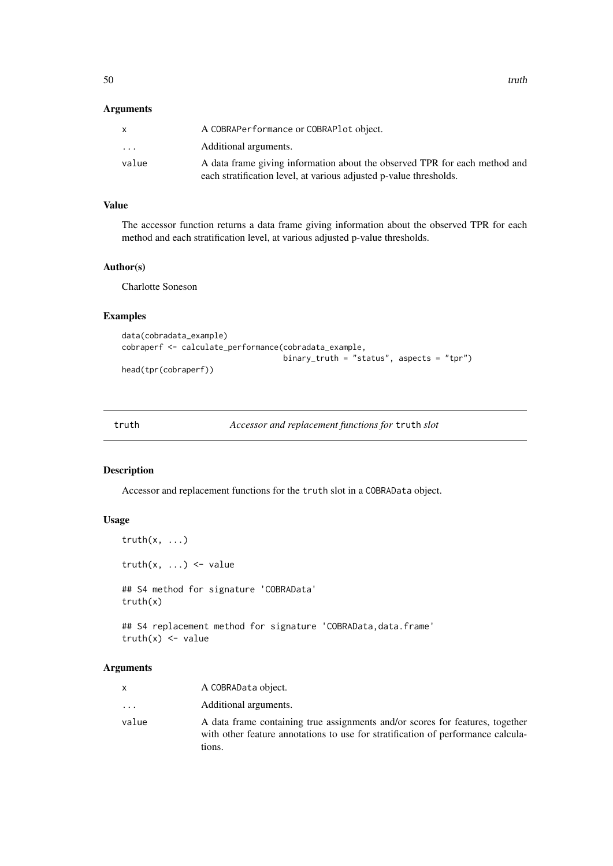## <span id="page-49-0"></span>Arguments

|                         | A COBRAPerformance or COBRAPlot object.                                    |
|-------------------------|----------------------------------------------------------------------------|
| $\cdot$ $\cdot$ $\cdot$ | Additional arguments.                                                      |
| value                   | A data frame giving information about the observed TPR for each method and |
|                         | each stratification level, at various adjusted p-value thresholds.         |

## Value

The accessor function returns a data frame giving information about the observed TPR for each method and each stratification level, at various adjusted p-value thresholds.

## Author(s)

Charlotte Soneson

#### Examples

```
data(cobradata_example)
cobraperf <- calculate_performance(cobradata_example,
                                   binary_truth = "status", aspects = "tpr")
```
head(tpr(cobraperf))

truth *Accessor and replacement functions for* truth *slot*

#### Description

Accessor and replacement functions for the truth slot in a COBRAData object.

#### Usage

```
truth(x, \ldots)truth(x, \ldots) <- value
## S4 method for signature 'COBRAData'
truth(x)
## S4 replacement method for signature 'COBRAData, data.frame'
truth(x) <- value
```
## Arguments

|                         | A COBRAData object.                                                                                                                                                         |
|-------------------------|-----------------------------------------------------------------------------------------------------------------------------------------------------------------------------|
| $\cdot$ $\cdot$ $\cdot$ | Additional arguments.                                                                                                                                                       |
| value                   | A data frame containing true assignments and/or scores for features, together<br>with other feature annotations to use for stratification of performance calcula-<br>tions. |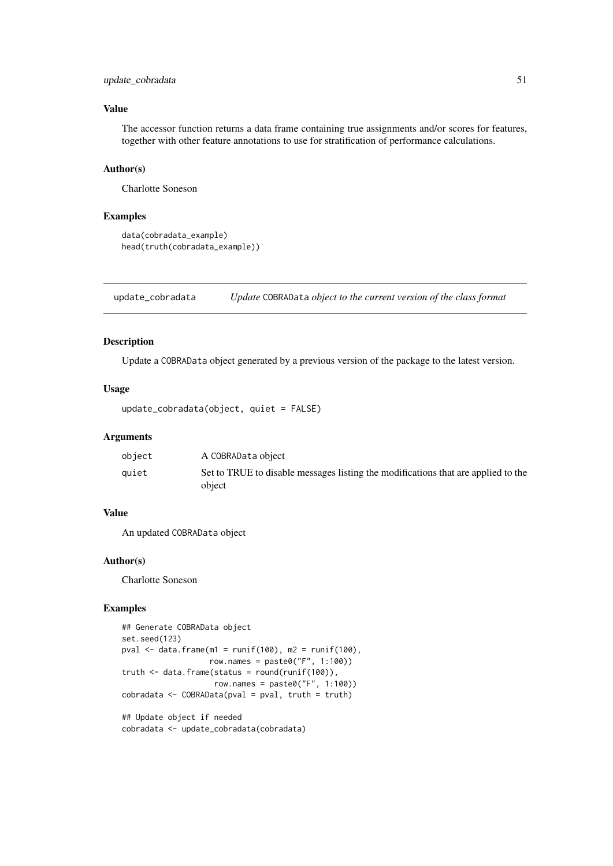#### <span id="page-50-0"></span>update\_cobradata 51

## Value

The accessor function returns a data frame containing true assignments and/or scores for features, together with other feature annotations to use for stratification of performance calculations.

## Author(s)

Charlotte Soneson

#### Examples

```
data(cobradata_example)
head(truth(cobradata_example))
```
update\_cobradata *Update* COBRAData *object to the current version of the class format*

#### Description

Update a COBRAData object generated by a previous version of the package to the latest version.

#### Usage

```
update_cobradata(object, quiet = FALSE)
```
#### Arguments

| object | A COBRAData object                                                                |
|--------|-----------------------------------------------------------------------------------|
| auiet  | Set to TRUE to disable messages listing the modifications that are applied to the |
|        | object                                                                            |

## Value

An updated COBRAData object

## Author(s)

Charlotte Soneson

```
## Generate COBRAData object
set.seed(123)
pval \leq data.frame(m1 = runif(100), m2 = runif(100),
                   row.names = paste0("F", 1:100))
truth \leq data.frame(status = round(runif(100)),
                    row.names = paste0("F", 1:100))
cobradata < -COBRAData(pval = pval, truth = truth)## Update object if needed
cobradata <- update_cobradata(cobradata)
```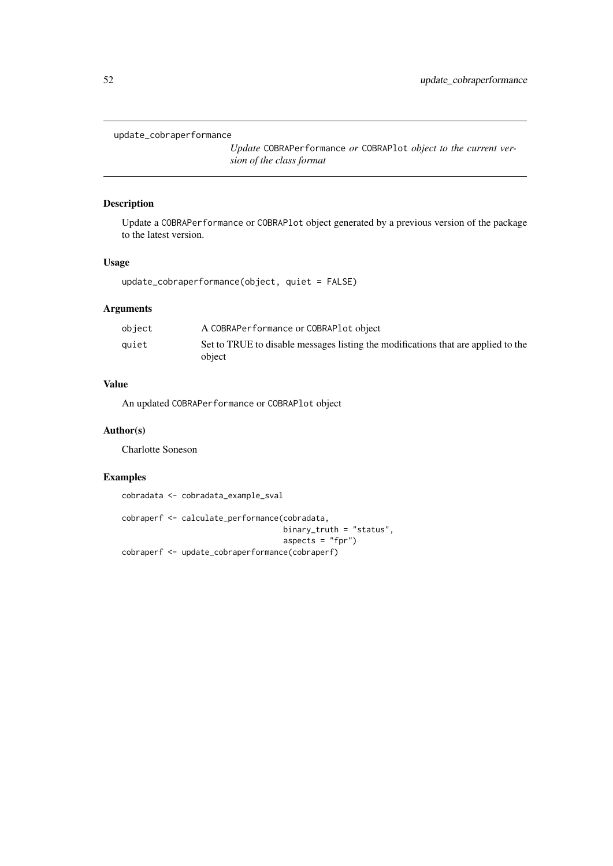#### <span id="page-51-0"></span>update\_cobraperformance

*Update* COBRAPerformance *or* COBRAPlot *object to the current version of the class format*

## Description

Update a COBRAPerformance or COBRAPlot object generated by a previous version of the package to the latest version.

## Usage

update\_cobraperformance(object, quiet = FALSE)

## Arguments

| object | A COBRAPerformance or COBRAPlot object                                                      |
|--------|---------------------------------------------------------------------------------------------|
| auiet  | Set to TRUE to disable messages listing the modifications that are applied to the<br>object |

## Value

An updated COBRAPerformance or COBRAPlot object

## Author(s)

Charlotte Soneson

## Examples

cobradata <- cobradata\_example\_sval

```
cobraperf <- calculate_performance(cobradata,
                                  binary_truth = "status",
                                  aspects = "fpr")
cobraperf <- update_cobraperformance(cobraperf)
```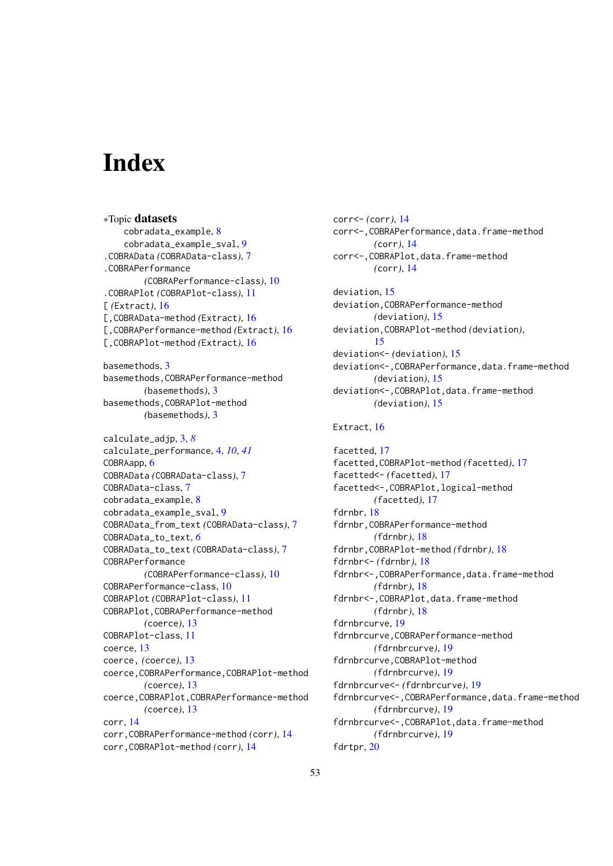# <span id="page-52-0"></span>Index

∗Topic datasets cobradata\_example, [8](#page-7-0) cobradata\_example\_sval, [9](#page-8-0) .COBRAData *(*COBRAData-class*)*, [7](#page-6-0) .COBRAPerformance *(*COBRAPerformance-class*)*, [10](#page-9-0) .COBRAPlot *(*COBRAPlot-class*)*, [11](#page-10-0) [ *(*Extract*)*, [16](#page-15-0) [,COBRAData-method *(*Extract*)*, [16](#page-15-0) [,COBRAPerformance-method *(*Extract*)*, [16](#page-15-0) [,COBRAPlot-method *(*Extract*)*, [16](#page-15-0) basemethods, [3](#page-2-0) basemethods,COBRAPerformance-method *(*basemethods*)*, [3](#page-2-0) basemethods,COBRAPlot-method *(*basemethods*)*, [3](#page-2-0) calculate\_adjp, [3,](#page-2-0) *[8](#page-7-0)* calculate\_performance, [4,](#page-3-0) *[10](#page-9-0)*, *[41](#page-40-0)* COBRAapp, [6](#page-5-0) COBRAData *(*COBRAData-class*)*, [7](#page-6-0) COBRAData-class, [7](#page-6-0) cobradata\_example, [8](#page-7-0) cobradata\_example\_sval, [9](#page-8-0) COBRAData\_from\_text *(*COBRAData-class*)*, [7](#page-6-0) COBRAData\_to\_text, *[6](#page-5-0)* COBRAData\_to\_text *(*COBRAData-class*)*, [7](#page-6-0) COBRAPerformance *(*COBRAPerformance-class*)*, [10](#page-9-0) COBRAPerformance-class, [10](#page-9-0) COBRAPlot *(*COBRAPlot-class*)*, [11](#page-10-0) COBRAPlot,COBRAPerformance-method *(*coerce*)*, [13](#page-12-0) COBRAPlot-class, [11](#page-10-0) coerce, [13](#page-12-0) coerce, *(*coerce*)*, [13](#page-12-0) coerce,COBRAPerformance,COBRAPlot-method *(*coerce*)*, [13](#page-12-0) coerce,COBRAPlot,COBRAPerformance-method *(*coerce*)*, [13](#page-12-0) corr, [14](#page-13-0) corr,COBRAPerformance-method *(*corr*)*, [14](#page-13-0) corr,COBRAPlot-method *(*corr*)*, [14](#page-13-0)

corr<- *(*corr*)*, [14](#page-13-0) corr<-,COBRAPerformance,data.frame-method *(*corr*)*, [14](#page-13-0) corr<-,COBRAPlot,data.frame-method *(*corr*)*, [14](#page-13-0) deviation, [15](#page-14-0) deviation,COBRAPerformance-method *(*deviation*)*, [15](#page-14-0) deviation,COBRAPlot-method *(*deviation*)*, [15](#page-14-0) deviation<- *(*deviation*)*, [15](#page-14-0) deviation<-,COBRAPerformance,data.frame-method *(*deviation*)*, [15](#page-14-0) deviation<-,COBRAPlot,data.frame-method *(*deviation*)*, [15](#page-14-0) Extract, [16](#page-15-0) facetted, [17](#page-16-0) facetted,COBRAPlot-method *(*facetted*)*, [17](#page-16-0) facetted<- *(*facetted*)*, [17](#page-16-0) facetted<-,COBRAPlot,logical-method *(*facetted*)*, [17](#page-16-0) fdrnbr, [18](#page-17-0) fdrnbr,COBRAPerformance-method *(*fdrnbr*)*, [18](#page-17-0) fdrnbr,COBRAPlot-method *(*fdrnbr*)*, [18](#page-17-0) fdrnbr<- *(*fdrnbr*)*, [18](#page-17-0) fdrnbr<-,COBRAPerformance,data.frame-method *(*fdrnbr*)*, [18](#page-17-0) fdrnbr<-,COBRAPlot,data.frame-method *(*fdrnbr*)*, [18](#page-17-0) fdrnbrcurve, [19](#page-18-0) fdrnbrcurve,COBRAPerformance-method *(*fdrnbrcurve*)*, [19](#page-18-0) fdrnbrcurve,COBRAPlot-method *(*fdrnbrcurve*)*, [19](#page-18-0) fdrnbrcurve<- *(*fdrnbrcurve*)*, [19](#page-18-0) fdrnbrcurve<-,COBRAPerformance,data.frame-method *(*fdrnbrcurve*)*, [19](#page-18-0) fdrnbrcurve<-,COBRAPlot,data.frame-method *(*fdrnbrcurve*)*, [19](#page-18-0) fdrtpr, [20](#page-19-0)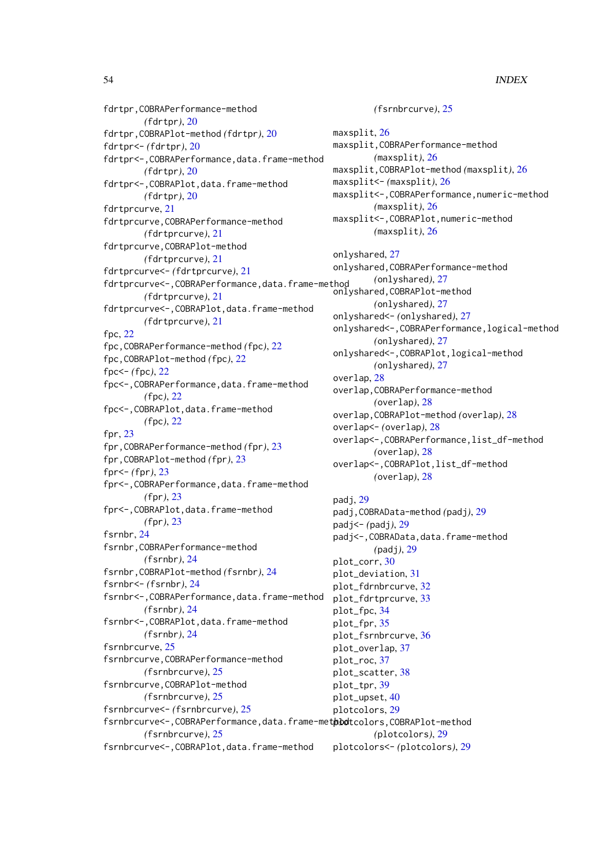fdrtpr,COBRAPerformance-method *(*fdrtpr*)*, [20](#page-19-0) fdrtpr,COBRAPlot-method *(*fdrtpr*)*, [20](#page-19-0) fdrtpr<- *(*fdrtpr*)*, [20](#page-19-0) fdrtpr<-,COBRAPerformance,data.frame-method *(*fdrtpr*)*, [20](#page-19-0) fdrtpr<-,COBRAPlot,data.frame-method *(*fdrtpr*)*, [20](#page-19-0) fdrtprcurve, [21](#page-20-0) fdrtprcurve,COBRAPerformance-method *(*fdrtprcurve*)*, [21](#page-20-0) fdrtprcurve,COBRAPlot-method *(*fdrtprcurve*)*, [21](#page-20-0) fdrtprcurve<- *(*fdrtprcurve*)*, [21](#page-20-0) fdrtprcurve<-,COBRAPerformance,data.frame-method onlyshared,COBRAPlot-method *(*fdrtprcurve*)*, [21](#page-20-0) fdrtprcurve<-,COBRAPlot,data.frame-method *(*fdrtprcurve*)*, [21](#page-20-0) fpc, [22](#page-21-0) fpc,COBRAPerformance-method *(*fpc*)*, [22](#page-21-0) fpc,COBRAPlot-method *(*fpc*)*, [22](#page-21-0) fpc<- *(*fpc*)*, [22](#page-21-0) fpc<-,COBRAPerformance,data.frame-method *(*fpc*)*, [22](#page-21-0) fpc<-,COBRAPlot,data.frame-method *(*fpc*)*, [22](#page-21-0) fpr, [23](#page-22-0) fpr,COBRAPerformance-method *(*fpr*)*, [23](#page-22-0) fpr,COBRAPlot-method *(*fpr*)*, [23](#page-22-0) fpr<- *(*fpr*)*, [23](#page-22-0) fpr<-,COBRAPerformance,data.frame-method *(*fpr*)*, [23](#page-22-0) fpr<-,COBRAPlot,data.frame-method *(*fpr*)*, [23](#page-22-0) fsrnbr, [24](#page-23-0) fsrnbr,COBRAPerformance-method *(*fsrnbr*)*, [24](#page-23-0) fsrnbr,COBRAPlot-method *(*fsrnbr*)*, [24](#page-23-0) fsrnbr<- *(*fsrnbr*)*, [24](#page-23-0) fsrnbr<-,COBRAPerformance,data.frame-method *(*fsrnbr*)*, [24](#page-23-0) fsrnbr<-,COBRAPlot,data.frame-method *(*fsrnbr*)*, [24](#page-23-0) fsrnbrcurve, [25](#page-24-0) fsrnbrcurve,COBRAPerformance-method *(*fsrnbrcurve*)*, [25](#page-24-0) fsrnbrcurve,COBRAPlot-method *(*fsrnbrcurve*)*, [25](#page-24-0) fsrnbrcurve<- *(*fsrnbrcurve*)*, [25](#page-24-0) fsrnbrcurve<-, COBRAPerformance, data.frame-methodtcolors, COBRAPlot-method *(*fsrnbrcurve*)*, [25](#page-24-0)

fsrnbrcurve<-,COBRAPlot,data.frame-method

*(*fsrnbrcurve*)*, [25](#page-24-0) maxsplit, [26](#page-25-0) maxsplit,COBRAPerformance-method *(*maxsplit*)*, [26](#page-25-0) maxsplit,COBRAPlot-method *(*maxsplit*)*, [26](#page-25-0) maxsplit<- *(*maxsplit*)*, [26](#page-25-0) maxsplit<-,COBRAPerformance,numeric-method *(*maxsplit*)*, [26](#page-25-0) maxsplit<-,COBRAPlot,numeric-method *(*maxsplit*)*, [26](#page-25-0) onlyshared, [27](#page-26-0) onlyshared,COBRAPerformance-method *(*onlyshared*)*, [27](#page-26-0) *(*onlyshared*)*, [27](#page-26-0) onlyshared<- *(*onlyshared*)*, [27](#page-26-0) onlyshared<-,COBRAPerformance,logical-method *(*onlyshared*)*, [27](#page-26-0) onlyshared<-,COBRAPlot,logical-method *(*onlyshared*)*, [27](#page-26-0) overlap, [28](#page-27-0) overlap,COBRAPerformance-method *(*overlap*)*, [28](#page-27-0) overlap,COBRAPlot-method *(*overlap*)*, [28](#page-27-0) overlap<- *(*overlap*)*, [28](#page-27-0) overlap<-,COBRAPerformance,list\_df-method *(*overlap*)*, [28](#page-27-0) overlap<-,COBRAPlot,list\_df-method *(*overlap*)*, [28](#page-27-0) padj, [29](#page-28-0) padj,COBRAData-method *(*padj*)*, [29](#page-28-0)

padj<- *(*padj*)*, [29](#page-28-0) padj<-,COBRAData,data.frame-method *(*padj*)*, [29](#page-28-0) plot\_corr, [30](#page-29-0) plot\_deviation, [31](#page-30-0) plot\_fdrnbrcurve, [32](#page-31-0) plot\_fdrtprcurve, [33](#page-32-0) plot\_fpc, [34](#page-33-0) plot\_fpr, [35](#page-34-0) plot\_fsrnbrcurve, [36](#page-35-0) plot\_overlap, [37](#page-36-0) plot\_roc, [37](#page-36-0) plot\_scatter, [38](#page-37-0) plot\_tpr, [39](#page-38-0) plot\_upset, [40](#page-39-0) plotcolors, [29](#page-28-0) *(*plotcolors*)*, [29](#page-28-0) plotcolors<- *(*plotcolors*)*, [29](#page-28-0)